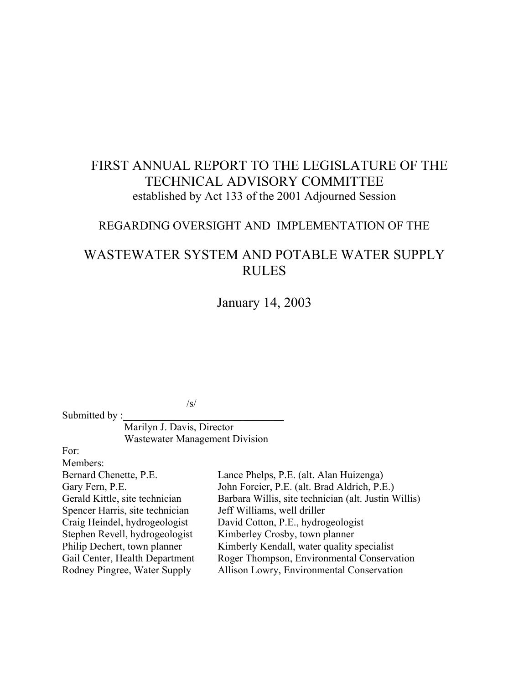# FIRST ANNUAL REPORT TO THE LEGISLATURE OF THE TECHNICAL ADVISORY COMMITTEE established by Act 133 of the 2001 Adjourned Session

# REGARDING OVERSIGHT AND IMPLEMENTATION OF THE

# WASTEWATER SYSTEM AND POTABLE WATER SUPPLY RULES

January 14, 2003

 $\sqrt{s/2}$ 

Marilyn J. Davis, Director Wastewater Management Division

For:

Submitted by :

Members: Bernard Chenette, P.E. Lance Phelps, P.E. (alt. Alan Huizenga) Gary Fern, P.E. John Forcier, P.E. (alt. Brad Aldrich, P.E.) Gerald Kittle, site technician Barbara Willis, site technician (alt. Justin Willis) Spencer Harris, site technician Jeff Williams, well driller Craig Heindel, hydrogeologist David Cotton, P.E., hydrogeologist Stephen Revell, hydrogeologist Kimberley Crosby, town planner Philip Dechert, town planner Kimberly Kendall, water quality specialist Gail Center, Health Department Roger Thompson, Environmental Conservation Rodney Pingree, Water Supply Allison Lowry, Environmental Conservation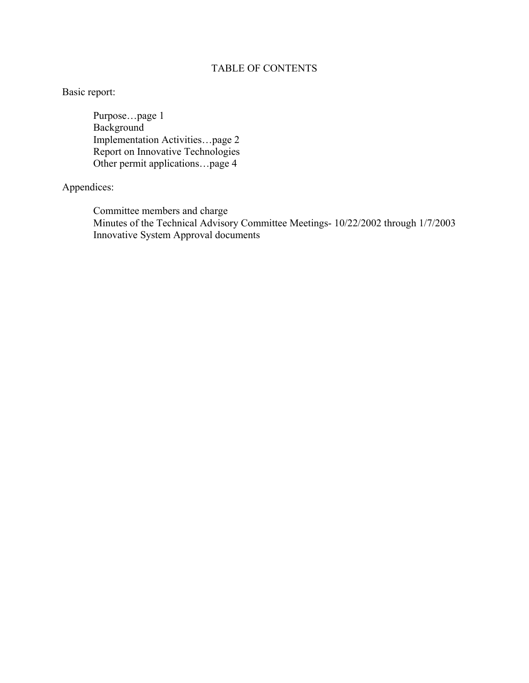# TABLE OF CONTENTS

# Basic report:

Purpose…page 1 Background Implementation Activities…page 2 Report on Innovative Technologies Other permit applications…page 4

# Appendices:

Committee members and charge Minutes of the Technical Advisory Committee Meetings- 10/22/2002 through 1/7/2003 Innovative System Approval documents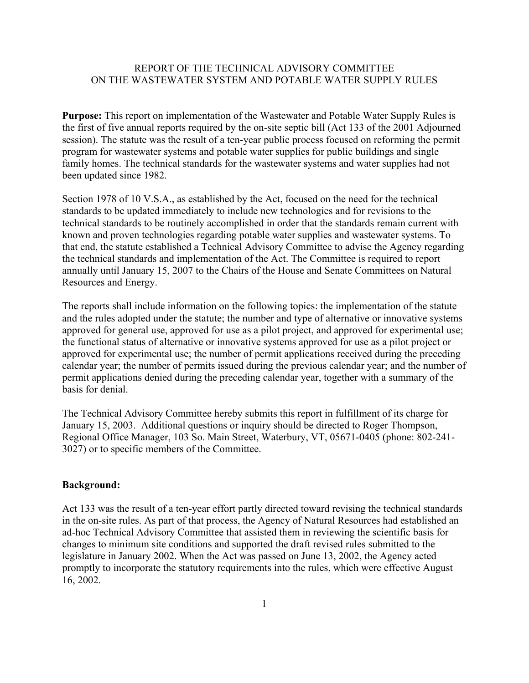# REPORT OF THE TECHNICAL ADVISORY COMMITTEE ON THE WASTEWATER SYSTEM AND POTABLE WATER SUPPLY RULES

**Purpose:** This report on implementation of the Wastewater and Potable Water Supply Rules is the first of five annual reports required by the on-site septic bill (Act 133 of the 2001 Adjourned session). The statute was the result of a ten-year public process focused on reforming the permit program for wastewater systems and potable water supplies for public buildings and single family homes. The technical standards for the wastewater systems and water supplies had not been updated since 1982.

Section 1978 of 10 V.S.A., as established by the Act, focused on the need for the technical standards to be updated immediately to include new technologies and for revisions to the technical standards to be routinely accomplished in order that the standards remain current with known and proven technologies regarding potable water supplies and wastewater systems. To that end, the statute established a Technical Advisory Committee to advise the Agency regarding the technical standards and implementation of the Act. The Committee is required to report annually until January 15, 2007 to the Chairs of the House and Senate Committees on Natural Resources and Energy.

The reports shall include information on the following topics: the implementation of the statute and the rules adopted under the statute; the number and type of alternative or innovative systems approved for general use, approved for use as a pilot project, and approved for experimental use; the functional status of alternative or innovative systems approved for use as a pilot project or approved for experimental use; the number of permit applications received during the preceding calendar year; the number of permits issued during the previous calendar year; and the number of permit applications denied during the preceding calendar year, together with a summary of the basis for denial.

The Technical Advisory Committee hereby submits this report in fulfillment of its charge for January 15, 2003. Additional questions or inquiry should be directed to Roger Thompson, Regional Office Manager, 103 So. Main Street, Waterbury, VT, 05671-0405 (phone: 802-241- 3027) or to specific members of the Committee.

#### **Background:**

Act 133 was the result of a ten-year effort partly directed toward revising the technical standards in the on-site rules. As part of that process, the Agency of Natural Resources had established an ad-hoc Technical Advisory Committee that assisted them in reviewing the scientific basis for changes to minimum site conditions and supported the draft revised rules submitted to the legislature in January 2002. When the Act was passed on June 13, 2002, the Agency acted promptly to incorporate the statutory requirements into the rules, which were effective August 16, 2002.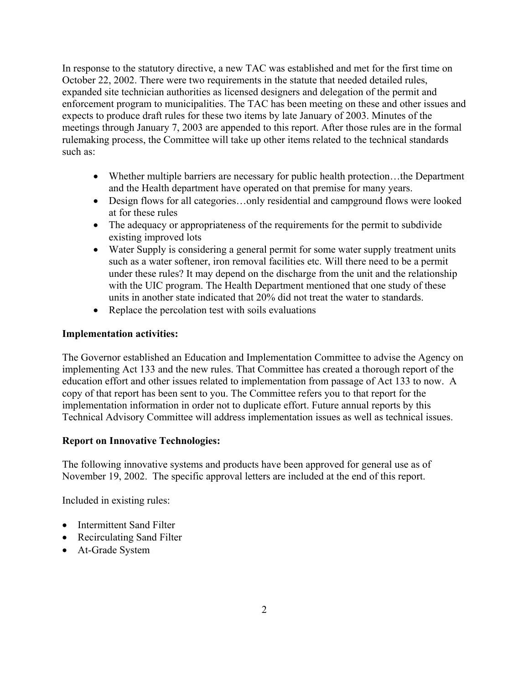In response to the statutory directive, a new TAC was established and met for the first time on October 22, 2002. There were two requirements in the statute that needed detailed rules, expanded site technician authorities as licensed designers and delegation of the permit and enforcement program to municipalities. The TAC has been meeting on these and other issues and expects to produce draft rules for these two items by late January of 2003. Minutes of the meetings through January 7, 2003 are appended to this report. After those rules are in the formal rulemaking process, the Committee will take up other items related to the technical standards such as:

- Whether multiple barriers are necessary for public health protection...the Department and the Health department have operated on that premise for many years.
- Design flows for all categories...only residential and campground flows were looked at for these rules
- The adequacy or appropriateness of the requirements for the permit to subdivide existing improved lots
- Water Supply is considering a general permit for some water supply treatment units such as a water softener, iron removal facilities etc. Will there need to be a permit under these rules? It may depend on the discharge from the unit and the relationship with the UIC program. The Health Department mentioned that one study of these units in another state indicated that 20% did not treat the water to standards.
- Replace the percolation test with soils evaluations

# **Implementation activities:**

The Governor established an Education and Implementation Committee to advise the Agency on implementing Act 133 and the new rules. That Committee has created a thorough report of the education effort and other issues related to implementation from passage of Act 133 to now. A copy of that report has been sent to you. The Committee refers you to that report for the implementation information in order not to duplicate effort. Future annual reports by this Technical Advisory Committee will address implementation issues as well as technical issues.

# **Report on Innovative Technologies:**

The following innovative systems and products have been approved for general use as of November 19, 2002. The specific approval letters are included at the end of this report.

Included in existing rules:

- Intermittent Sand Filter
- Recirculating Sand Filter
- At-Grade System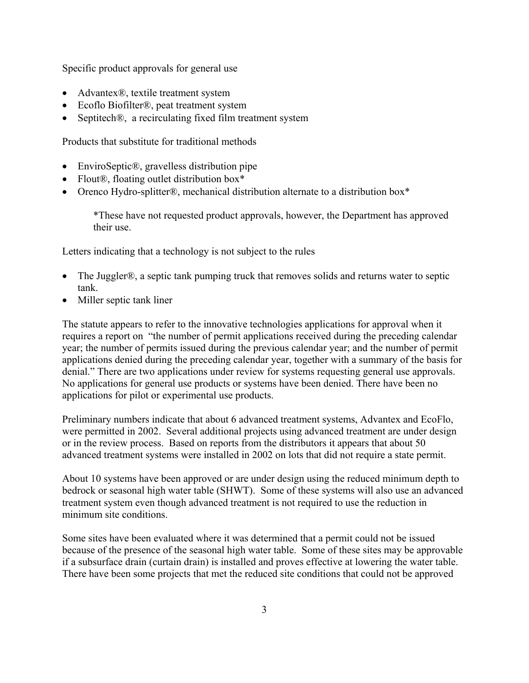Specific product approvals for general use

- Advantex<sup>®</sup>, textile treatment system
- Ecoflo Biofilter<sup>®</sup>, peat treatment system
- Septitech®, a recirculating fixed film treatment system

Products that substitute for traditional methods

- EnviroSeptic®, gravelless distribution pipe
- Flout<sup>®</sup>, floating outlet distribution box\*
- Orenco Hydro-splitter®, mechanical distribution alternate to a distribution box\*

\*These have not requested product approvals, however, the Department has approved their use.

Letters indicating that a technology is not subject to the rules

- The Juggler®, a septic tank pumping truck that removes solids and returns water to septic tank.
- Miller septic tank liner

The statute appears to refer to the innovative technologies applications for approval when it requires a report on "the number of permit applications received during the preceding calendar year; the number of permits issued during the previous calendar year; and the number of permit applications denied during the preceding calendar year, together with a summary of the basis for denial." There are two applications under review for systems requesting general use approvals. No applications for general use products or systems have been denied. There have been no applications for pilot or experimental use products.

Preliminary numbers indicate that about 6 advanced treatment systems, Advantex and EcoFlo, were permitted in 2002. Several additional projects using advanced treatment are under design or in the review process. Based on reports from the distributors it appears that about 50 advanced treatment systems were installed in 2002 on lots that did not require a state permit.

About 10 systems have been approved or are under design using the reduced minimum depth to bedrock or seasonal high water table (SHWT). Some of these systems will also use an advanced treatment system even though advanced treatment is not required to use the reduction in minimum site conditions.

Some sites have been evaluated where it was determined that a permit could not be issued because of the presence of the seasonal high water table. Some of these sites may be approvable if a subsurface drain (curtain drain) is installed and proves effective at lowering the water table. There have been some projects that met the reduced site conditions that could not be approved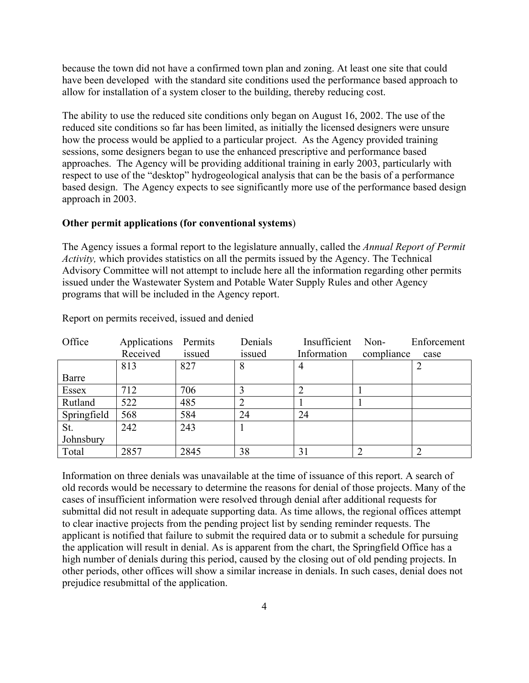because the town did not have a confirmed town plan and zoning. At least one site that could have been developed with the standard site conditions used the performance based approach to allow for installation of a system closer to the building, thereby reducing cost.

The ability to use the reduced site conditions only began on August 16, 2002. The use of the reduced site conditions so far has been limited, as initially the licensed designers were unsure how the process would be applied to a particular project. As the Agency provided training sessions, some designers began to use the enhanced prescriptive and performance based approaches. The Agency will be providing additional training in early 2003, particularly with respect to use of the "desktop" hydrogeological analysis that can be the basis of a performance based design. The Agency expects to see significantly more use of the performance based design approach in 2003.

#### **Other permit applications (for conventional systems**)

The Agency issues a formal report to the legislature annually, called the *Annual Report of Permit Activity,* which provides statistics on all the permits issued by the Agency. The Technical Advisory Committee will not attempt to include here all the information regarding other permits issued under the Wastewater System and Potable Water Supply Rules and other Agency programs that will be included in the Agency report.

| Office       | Applications | Permits | Denials | Insufficient | Non-       | Enforcement |
|--------------|--------------|---------|---------|--------------|------------|-------------|
|              | Received     | issued  | issued  | Information  | compliance | case        |
|              | 813          | 827     | 8       |              |            |             |
| Barre        |              |         |         |              |            |             |
| <b>Essex</b> | 712          | 706     |         |              |            |             |
| Rutland      | 522          | 485     |         |              |            |             |
| Springfield  | 568          | 584     | 24      | 24           |            |             |
| St.          | 242          | 243     |         |              |            |             |
| Johnsbury    |              |         |         |              |            |             |
| Total        | 2857         | 2845    | 38      | 31           |            |             |

Report on permits received, issued and denied

Information on three denials was unavailable at the time of issuance of this report. A search of old records would be necessary to determine the reasons for denial of those projects. Many of the cases of insufficient information were resolved through denial after additional requests for submittal did not result in adequate supporting data. As time allows, the regional offices attempt to clear inactive projects from the pending project list by sending reminder requests. The applicant is notified that failure to submit the required data or to submit a schedule for pursuing the application will result in denial. As is apparent from the chart, the Springfield Office has a high number of denials during this period, caused by the closing out of old pending projects. In other periods, other offices will show a similar increase in denials. In such cases, denial does not prejudice resubmittal of the application.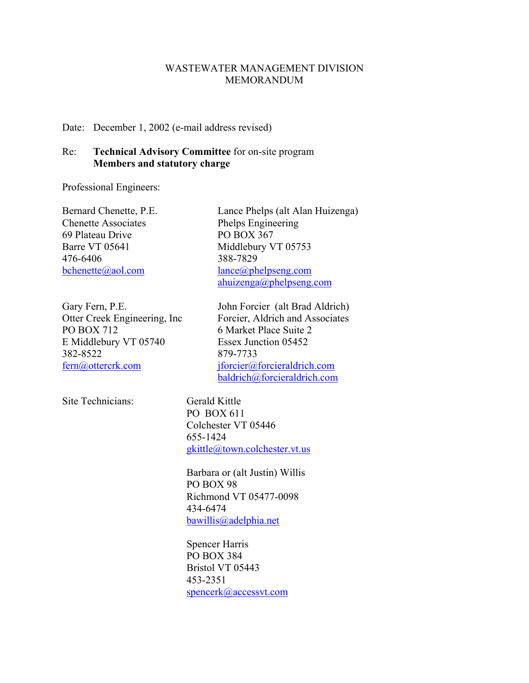#### WASTEWATER MANAGEMENT DIVISION MEMORANDUM

Date: December 1, 2002 (e-mail address revised)

# Re: **Technical Advisory Committee** for on-site program **Members and statutory charge**

Professional Engineers:

Chenette Associates Phelps Engineering 69 Plateau Drive PO BOX 367 Barre VT 05641 Middlebury VT 05753 476-6406 388-7829

PO BOX 712 6 Market Place Suite 2 E Middlebury VT 05740 Essex Junction 05452 382-8522 879-7733

Site Technicians: Gerald Kittle

Bernard Chenette, P.E. Lance Phelps (alt Alan Huizenga) bchenette@aol.com lance@phelpseng.com ahuizenga@phelpseng.com

Gary Fern, P.E. John Forcier (alt Brad Aldrich) Otter Creek Engineering, Inc Forcier, Aldrich and Associates fern@ottercrk.com jforcier@forcieraldrich.com baldrich@forcieraldrich.com

> PO BOX 611 Colchester VT 05446 655-1424 gkittle@town.colchester.vt.us

Barbara or (alt Justin) Willis PO BOX 98 Richmond VT 05477-0098 434-6474 bawillis@adelphia.net

Spencer Harris PO BOX 384 Bristol VT 05443 453-2351 spencerk@accessvt.com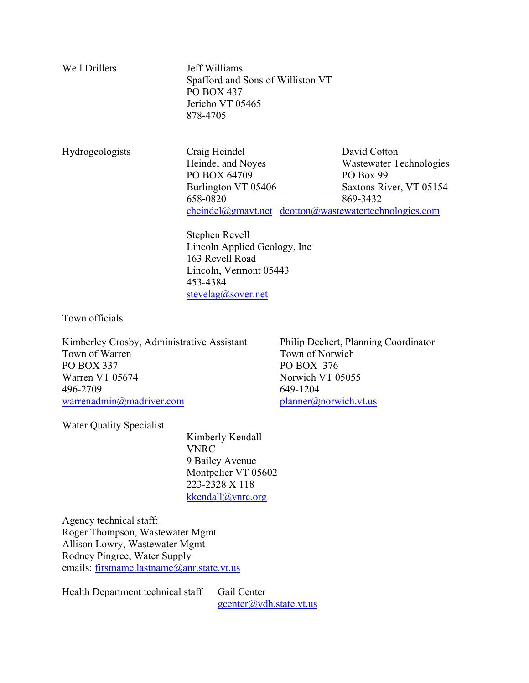| <b>Well Drillers</b>   | Jeff Williams<br>Spafford and Sons of Williston VT<br><b>PO BOX 437</b><br>Jericho VT 05465<br>878-4705 |                                                                                        |
|------------------------|---------------------------------------------------------------------------------------------------------|----------------------------------------------------------------------------------------|
| <b>Hydrogeologists</b> | Craig Heindel<br>Heindel and Noyes<br>PO BOX 64709                                                      | David Cotton<br>Wastewater Technologies<br>PO Box 99                                   |
|                        | Burlington VT 05406                                                                                     | Saxtons River, VT 05154                                                                |
|                        | 658-0820                                                                                                | 869-3432                                                                               |
|                        |                                                                                                         | $chemical(\partial g$ may t.net $d$ cotton $(\partial g)$ was tewater technologies.com |

 Stephen Revell Lincoln Applied Geology, Inc 163 Revell Road Lincoln, Vermont 05443 453-4384 stevelag@sover.net

Town officials

Kimberley Crosby, Administrative Assistant Philip Dechert, Planning Coordinator Town of Warren Town of Norwich PO BOX 337 PO BOX 376 Warren VT 05674 Norwich VT 05055 496-2709 649-1204 warrenadmin@madriver.com planner@norwich.vt.us

Water Quality Specialist

 Kimberly Kendall VNRC 9 Bailey Avenue Montpelier VT 05602 223-2328 X 118 kkendall@vnrc.org

Agency technical staff: Roger Thompson, Wastewater Mgmt Allison Lowry, Wastewater Mgmt Rodney Pingree, Water Supply emails: firstname.lastname@anr.state.vt.us

Health Department technical staff Gail Center

gcenter@vdh.state.vt.us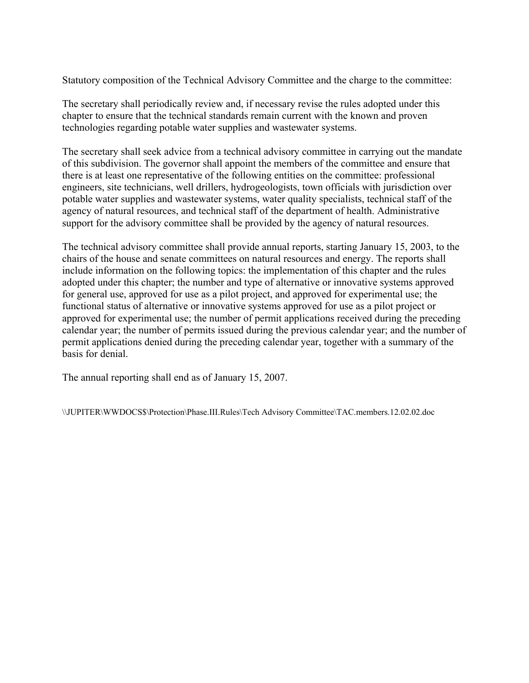Statutory composition of the Technical Advisory Committee and the charge to the committee:

The secretary shall periodically review and, if necessary revise the rules adopted under this chapter to ensure that the technical standards remain current with the known and proven technologies regarding potable water supplies and wastewater systems.

The secretary shall seek advice from a technical advisory committee in carrying out the mandate of this subdivision. The governor shall appoint the members of the committee and ensure that there is at least one representative of the following entities on the committee: professional engineers, site technicians, well drillers, hydrogeologists, town officials with jurisdiction over potable water supplies and wastewater systems, water quality specialists, technical staff of the agency of natural resources, and technical staff of the department of health. Administrative support for the advisory committee shall be provided by the agency of natural resources.

The technical advisory committee shall provide annual reports, starting January 15, 2003, to the chairs of the house and senate committees on natural resources and energy. The reports shall include information on the following topics: the implementation of this chapter and the rules adopted under this chapter; the number and type of alternative or innovative systems approved for general use, approved for use as a pilot project, and approved for experimental use; the functional status of alternative or innovative systems approved for use as a pilot project or approved for experimental use; the number of permit applications received during the preceding calendar year; the number of permits issued during the previous calendar year; and the number of permit applications denied during the preceding calendar year, together with a summary of the basis for denial.

The annual reporting shall end as of January 15, 2007.

\\JUPITER\WWDOCS\$\Protection\Phase.III.Rules\Tech Advisory Committee\TAC.members.12.02.02.doc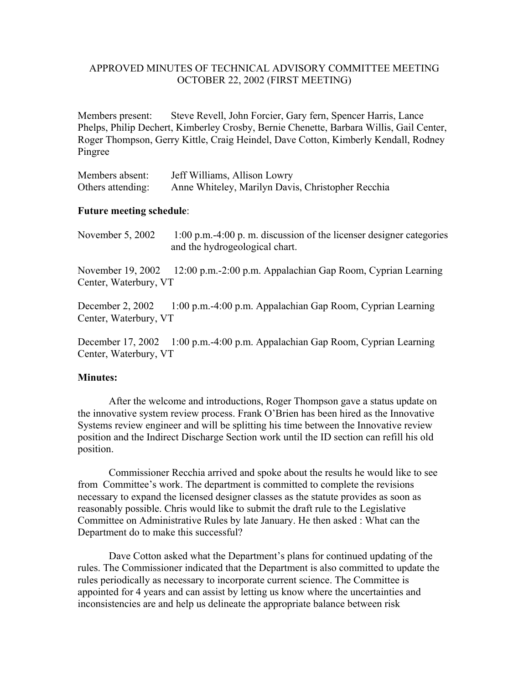### APPROVED MINUTES OF TECHNICAL ADVISORY COMMITTEE MEETING OCTOBER 22, 2002 (FIRST MEETING)

Members present: Steve Revell, John Forcier, Gary fern, Spencer Harris, Lance Phelps, Philip Dechert, Kimberley Crosby, Bernie Chenette, Barbara Willis, Gail Center, Roger Thompson, Gerry Kittle, Craig Heindel, Dave Cotton, Kimberly Kendall, Rodney Pingree

| Members absent:   | Jeff Williams, Allison Lowry                      |
|-------------------|---------------------------------------------------|
| Others attending: | Anne Whiteley, Marilyn Davis, Christopher Recchia |

#### **Future meeting schedule**:

November 5, 2002 1:00 p.m.-4:00 p.m. discussion of the licenser designer categories and the hydrogeological chart.

November 19, 2002 12:00 p.m.-2:00 p.m. Appalachian Gap Room, Cyprian Learning Center, Waterbury, VT

December 2, 2002 1:00 p.m.-4:00 p.m. Appalachian Gap Room, Cyprian Learning Center, Waterbury, VT

December 17, 2002 1:00 p.m.-4:00 p.m. Appalachian Gap Room, Cyprian Learning Center, Waterbury, VT

#### **Minutes:**

 After the welcome and introductions, Roger Thompson gave a status update on the innovative system review process. Frank O'Brien has been hired as the Innovative Systems review engineer and will be splitting his time between the Innovative review position and the Indirect Discharge Section work until the ID section can refill his old position.

Commissioner Recchia arrived and spoke about the results he would like to see from Committee's work. The department is committed to complete the revisions necessary to expand the licensed designer classes as the statute provides as soon as reasonably possible. Chris would like to submit the draft rule to the Legislative Committee on Administrative Rules by late January. He then asked : What can the Department do to make this successful?

Dave Cotton asked what the Department's plans for continued updating of the rules. The Commissioner indicated that the Department is also committed to update the rules periodically as necessary to incorporate current science. The Committee is appointed for 4 years and can assist by letting us know where the uncertainties and inconsistencies are and help us delineate the appropriate balance between risk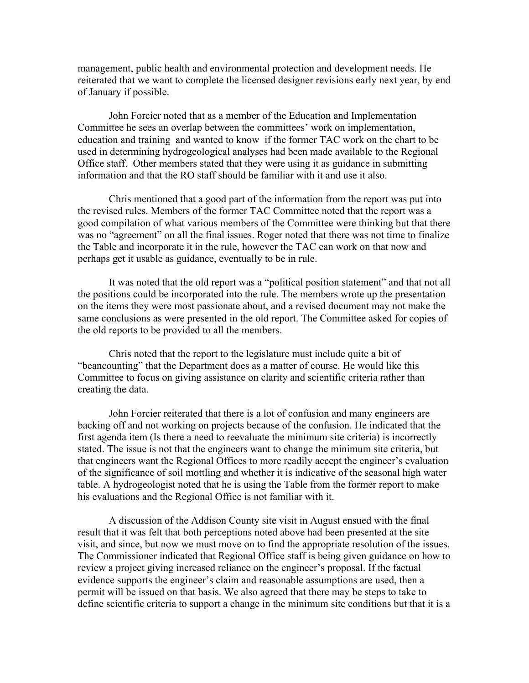management, public health and environmental protection and development needs. He reiterated that we want to complete the licensed designer revisions early next year, by end of January if possible.

John Forcier noted that as a member of the Education and Implementation Committee he sees an overlap between the committees' work on implementation, education and training and wanted to know if the former TAC work on the chart to be used in determining hydrogeological analyses had been made available to the Regional Office staff. Other members stated that they were using it as guidance in submitting information and that the RO staff should be familiar with it and use it also.

Chris mentioned that a good part of the information from the report was put into the revised rules. Members of the former TAC Committee noted that the report was a good compilation of what various members of the Committee were thinking but that there was no "agreement" on all the final issues. Roger noted that there was not time to finalize the Table and incorporate it in the rule, however the TAC can work on that now and perhaps get it usable as guidance, eventually to be in rule.

It was noted that the old report was a "political position statement" and that not all the positions could be incorporated into the rule. The members wrote up the presentation on the items they were most passionate about, and a revised document may not make the same conclusions as were presented in the old report. The Committee asked for copies of the old reports to be provided to all the members.

Chris noted that the report to the legislature must include quite a bit of "beancounting" that the Department does as a matter of course. He would like this Committee to focus on giving assistance on clarity and scientific criteria rather than creating the data.

John Forcier reiterated that there is a lot of confusion and many engineers are backing off and not working on projects because of the confusion. He indicated that the first agenda item (Is there a need to reevaluate the minimum site criteria) is incorrectly stated. The issue is not that the engineers want to change the minimum site criteria, but that engineers want the Regional Offices to more readily accept the engineer's evaluation of the significance of soil mottling and whether it is indicative of the seasonal high water table. A hydrogeologist noted that he is using the Table from the former report to make his evaluations and the Regional Office is not familiar with it.

A discussion of the Addison County site visit in August ensued with the final result that it was felt that both perceptions noted above had been presented at the site visit, and since, but now we must move on to find the appropriate resolution of the issues. The Commissioner indicated that Regional Office staff is being given guidance on how to review a project giving increased reliance on the engineer's proposal. If the factual evidence supports the engineer's claim and reasonable assumptions are used, then a permit will be issued on that basis. We also agreed that there may be steps to take to define scientific criteria to support a change in the minimum site conditions but that it is a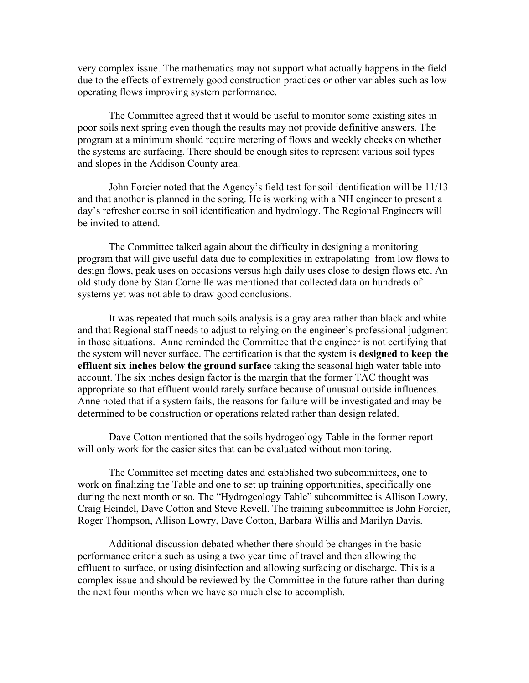very complex issue. The mathematics may not support what actually happens in the field due to the effects of extremely good construction practices or other variables such as low operating flows improving system performance.

The Committee agreed that it would be useful to monitor some existing sites in poor soils next spring even though the results may not provide definitive answers. The program at a minimum should require metering of flows and weekly checks on whether the systems are surfacing. There should be enough sites to represent various soil types and slopes in the Addison County area.

John Forcier noted that the Agency's field test for soil identification will be 11/13 and that another is planned in the spring. He is working with a NH engineer to present a day's refresher course in soil identification and hydrology. The Regional Engineers will be invited to attend.

The Committee talked again about the difficulty in designing a monitoring program that will give useful data due to complexities in extrapolating from low flows to design flows, peak uses on occasions versus high daily uses close to design flows etc. An old study done by Stan Corneille was mentioned that collected data on hundreds of systems yet was not able to draw good conclusions.

It was repeated that much soils analysis is a gray area rather than black and white and that Regional staff needs to adjust to relying on the engineer's professional judgment in those situations. Anne reminded the Committee that the engineer is not certifying that the system will never surface. The certification is that the system is **designed to keep the effluent six inches below the ground surface** taking the seasonal high water table into account. The six inches design factor is the margin that the former TAC thought was appropriate so that effluent would rarely surface because of unusual outside influences. Anne noted that if a system fails, the reasons for failure will be investigated and may be determined to be construction or operations related rather than design related.

Dave Cotton mentioned that the soils hydrogeology Table in the former report will only work for the easier sites that can be evaluated without monitoring.

The Committee set meeting dates and established two subcommittees, one to work on finalizing the Table and one to set up training opportunities, specifically one during the next month or so. The "Hydrogeology Table" subcommittee is Allison Lowry, Craig Heindel, Dave Cotton and Steve Revell. The training subcommittee is John Forcier, Roger Thompson, Allison Lowry, Dave Cotton, Barbara Willis and Marilyn Davis.

Additional discussion debated whether there should be changes in the basic performance criteria such as using a two year time of travel and then allowing the effluent to surface, or using disinfection and allowing surfacing or discharge. This is a complex issue and should be reviewed by the Committee in the future rather than during the next four months when we have so much else to accomplish.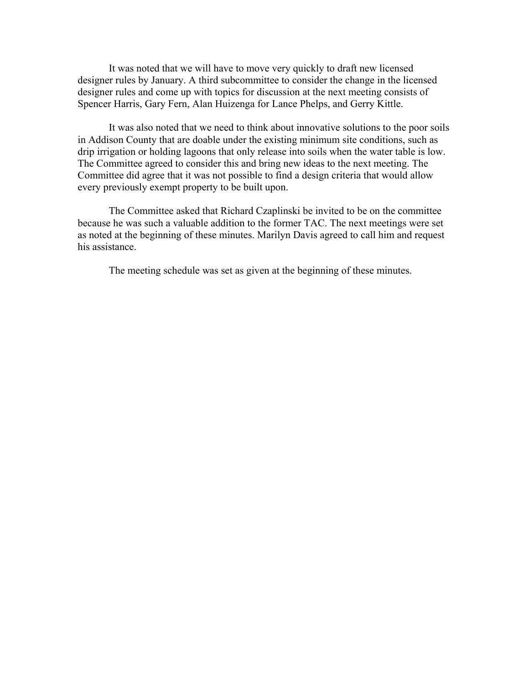It was noted that we will have to move very quickly to draft new licensed designer rules by January. A third subcommittee to consider the change in the licensed designer rules and come up with topics for discussion at the next meeting consists of Spencer Harris, Gary Fern, Alan Huizenga for Lance Phelps, and Gerry Kittle.

It was also noted that we need to think about innovative solutions to the poor soils in Addison County that are doable under the existing minimum site conditions, such as drip irrigation or holding lagoons that only release into soils when the water table is low. The Committee agreed to consider this and bring new ideas to the next meeting. The Committee did agree that it was not possible to find a design criteria that would allow every previously exempt property to be built upon.

The Committee asked that Richard Czaplinski be invited to be on the committee because he was such a valuable addition to the former TAC. The next meetings were set as noted at the beginning of these minutes. Marilyn Davis agreed to call him and request his assistance.

The meeting schedule was set as given at the beginning of these minutes.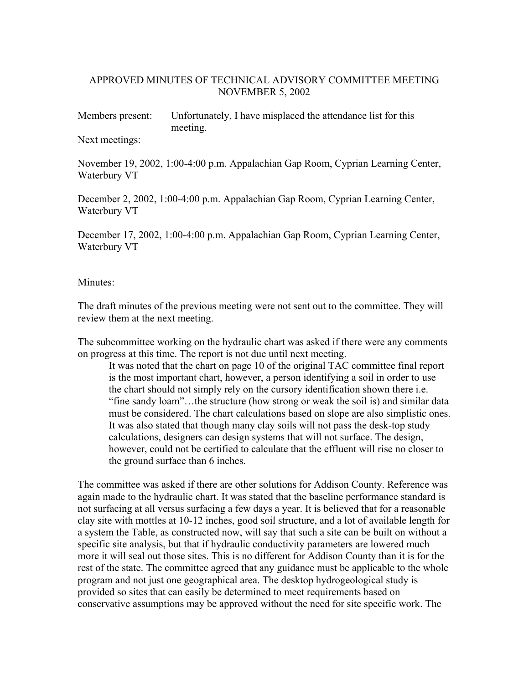# APPROVED MINUTES OF TECHNICAL ADVISORY COMMITTEE MEETING NOVEMBER 5, 2002

Members present: Unfortunately, I have misplaced the attendance list for this meeting.

Next meetings:

November 19, 2002, 1:00-4:00 p.m. Appalachian Gap Room, Cyprian Learning Center, Waterbury VT

December 2, 2002, 1:00-4:00 p.m. Appalachian Gap Room, Cyprian Learning Center, Waterbury VT

December 17, 2002, 1:00-4:00 p.m. Appalachian Gap Room, Cyprian Learning Center, Waterbury VT

#### Minutes<sup>-</sup>

The draft minutes of the previous meeting were not sent out to the committee. They will review them at the next meeting.

The subcommittee working on the hydraulic chart was asked if there were any comments on progress at this time. The report is not due until next meeting.

It was noted that the chart on page 10 of the original TAC committee final report is the most important chart, however, a person identifying a soil in order to use the chart should not simply rely on the cursory identification shown there i.e. "fine sandy loam"…the structure (how strong or weak the soil is) and similar data must be considered. The chart calculations based on slope are also simplistic ones. It was also stated that though many clay soils will not pass the desk-top study calculations, designers can design systems that will not surface. The design, however, could not be certified to calculate that the effluent will rise no closer to the ground surface than 6 inches.

The committee was asked if there are other solutions for Addison County. Reference was again made to the hydraulic chart. It was stated that the baseline performance standard is not surfacing at all versus surfacing a few days a year. It is believed that for a reasonable clay site with mottles at 10-12 inches, good soil structure, and a lot of available length for a system the Table, as constructed now, will say that such a site can be built on without a specific site analysis, but that if hydraulic conductivity parameters are lowered much more it will seal out those sites. This is no different for Addison County than it is for the rest of the state. The committee agreed that any guidance must be applicable to the whole program and not just one geographical area. The desktop hydrogeological study is provided so sites that can easily be determined to meet requirements based on conservative assumptions may be approved without the need for site specific work. The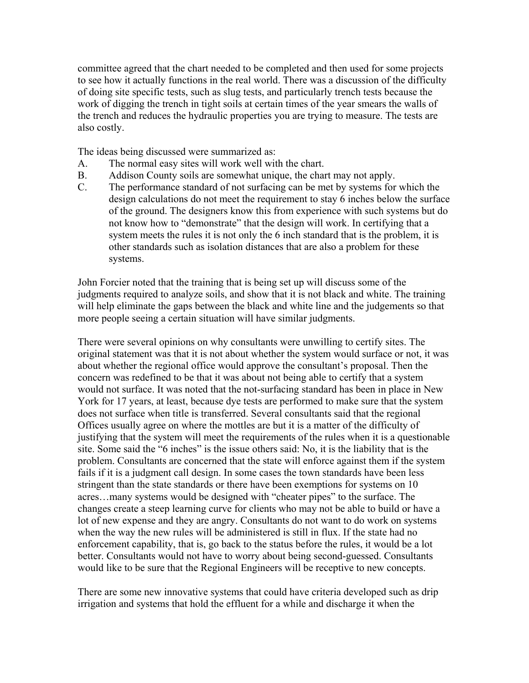committee agreed that the chart needed to be completed and then used for some projects to see how it actually functions in the real world. There was a discussion of the difficulty of doing site specific tests, such as slug tests, and particularly trench tests because the work of digging the trench in tight soils at certain times of the year smears the walls of the trench and reduces the hydraulic properties you are trying to measure. The tests are also costly.

The ideas being discussed were summarized as:

- A. The normal easy sites will work well with the chart.
- B. Addison County soils are somewhat unique, the chart may not apply.
- C. The performance standard of not surfacing can be met by systems for which the design calculations do not meet the requirement to stay 6 inches below the surface of the ground. The designers know this from experience with such systems but do not know how to "demonstrate" that the design will work. In certifying that a system meets the rules it is not only the 6 inch standard that is the problem, it is other standards such as isolation distances that are also a problem for these systems.

John Forcier noted that the training that is being set up will discuss some of the judgments required to analyze soils, and show that it is not black and white. The training will help eliminate the gaps between the black and white line and the judgements so that more people seeing a certain situation will have similar judgments.

There were several opinions on why consultants were unwilling to certify sites. The original statement was that it is not about whether the system would surface or not, it was about whether the regional office would approve the consultant's proposal. Then the concern was redefined to be that it was about not being able to certify that a system would not surface. It was noted that the not-surfacing standard has been in place in New York for 17 years, at least, because dye tests are performed to make sure that the system does not surface when title is transferred. Several consultants said that the regional Offices usually agree on where the mottles are but it is a matter of the difficulty of justifying that the system will meet the requirements of the rules when it is a questionable site. Some said the "6 inches" is the issue others said: No, it is the liability that is the problem. Consultants are concerned that the state will enforce against them if the system fails if it is a judgment call design. In some cases the town standards have been less stringent than the state standards or there have been exemptions for systems on 10 acres…many systems would be designed with "cheater pipes" to the surface. The changes create a steep learning curve for clients who may not be able to build or have a lot of new expense and they are angry. Consultants do not want to do work on systems when the way the new rules will be administered is still in flux. If the state had no enforcement capability, that is, go back to the status before the rules, it would be a lot better. Consultants would not have to worry about being second-guessed. Consultants would like to be sure that the Regional Engineers will be receptive to new concepts.

There are some new innovative systems that could have criteria developed such as drip irrigation and systems that hold the effluent for a while and discharge it when the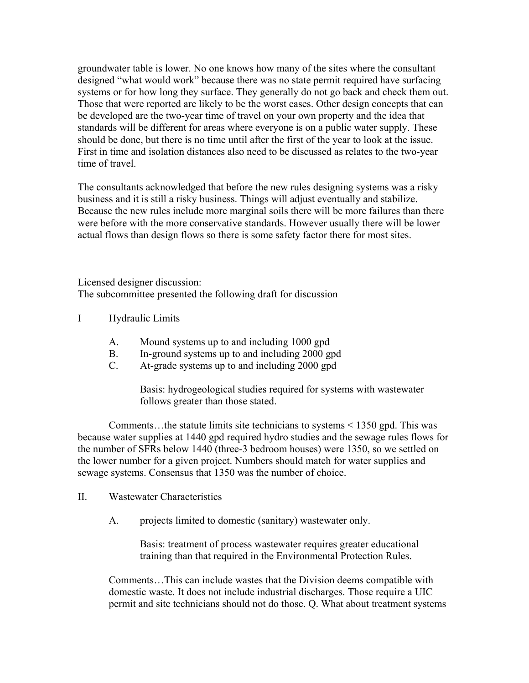groundwater table is lower. No one knows how many of the sites where the consultant designed "what would work" because there was no state permit required have surfacing systems or for how long they surface. They generally do not go back and check them out. Those that were reported are likely to be the worst cases. Other design concepts that can be developed are the two-year time of travel on your own property and the idea that standards will be different for areas where everyone is on a public water supply. These should be done, but there is no time until after the first of the year to look at the issue. First in time and isolation distances also need to be discussed as relates to the two-year time of travel.

The consultants acknowledged that before the new rules designing systems was a risky business and it is still a risky business. Things will adjust eventually and stabilize. Because the new rules include more marginal soils there will be more failures than there were before with the more conservative standards. However usually there will be lower actual flows than design flows so there is some safety factor there for most sites.

Licensed designer discussion: The subcommittee presented the following draft for discussion

# I Hydraulic Limits

- A. Mound systems up to and including 1000 gpd
- B. In-ground systems up to and including 2000 gpd
- C. At-grade systems up to and including 2000 gpd

Basis: hydrogeological studies required for systems with wastewater follows greater than those stated.

 Comments…the statute limits site technicians to systems < 1350 gpd. This was because water supplies at 1440 gpd required hydro studies and the sewage rules flows for the number of SFRs below 1440 (three-3 bedroom houses) were 1350, so we settled on the lower number for a given project. Numbers should match for water supplies and sewage systems. Consensus that 1350 was the number of choice.

#### II. Wastewater Characteristics

A. projects limited to domestic (sanitary) wastewater only.

Basis: treatment of process wastewater requires greater educational training than that required in the Environmental Protection Rules.

Comments…This can include wastes that the Division deems compatible with domestic waste. It does not include industrial discharges. Those require a UIC permit and site technicians should not do those. Q. What about treatment systems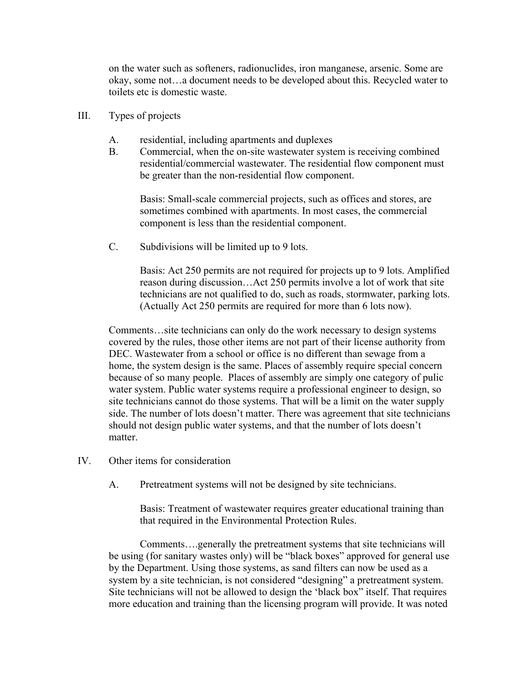on the water such as softeners, radionuclides, iron manganese, arsenic. Some are okay, some not…a document needs to be developed about this. Recycled water to toilets etc is domestic waste.

- III. Types of projects
	- A. residential, including apartments and duplexes
	- B. Commercial, when the on-site wastewater system is receiving combined residential/commercial wastewater. The residential flow component must be greater than the non-residential flow component.

Basis: Small-scale commercial projects, such as offices and stores, are sometimes combined with apartments. In most cases, the commercial component is less than the residential component.

C. Subdivisions will be limited up to 9 lots.

Basis: Act 250 permits are not required for projects up to 9 lots. Amplified reason during discussion…Act 250 permits involve a lot of work that site technicians are not qualified to do, such as roads, stormwater, parking lots. (Actually Act 250 permits are required for more than 6 lots now).

Comments…site technicians can only do the work necessary to design systems covered by the rules, those other items are not part of their license authority from DEC. Wastewater from a school or office is no different than sewage from a home, the system design is the same. Places of assembly require special concern because of so many people. Places of assembly are simply one category of pulic water system. Public water systems require a professional engineer to design, so site technicians cannot do those systems. That will be a limit on the water supply side. The number of lots doesn't matter. There was agreement that site technicians should not design public water systems, and that the number of lots doesn't matter.

- IV. Other items for consideration
	- A. Pretreatment systems will not be designed by site technicians.

Basis: Treatment of wastewater requires greater educational training than that required in the Environmental Protection Rules.

 Comments….generally the pretreatment systems that site technicians will be using (for sanitary wastes only) will be "black boxes" approved for general use by the Department. Using those systems, as sand filters can now be used as a system by a site technician, is not considered "designing" a pretreatment system. Site technicians will not be allowed to design the 'black box" itself. That requires more education and training than the licensing program will provide. It was noted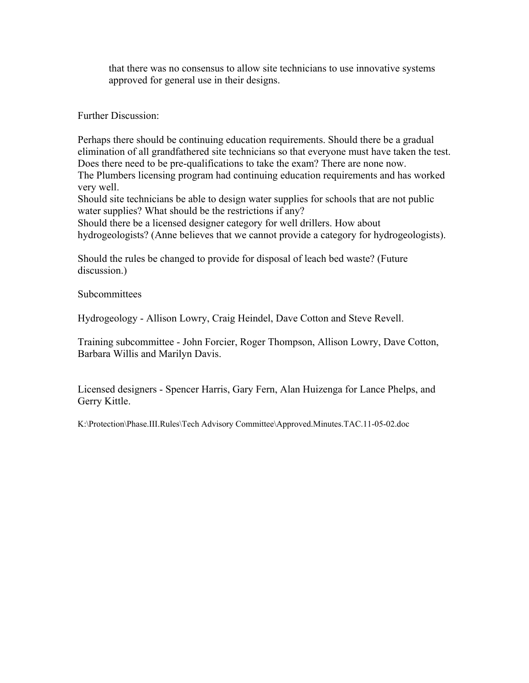that there was no consensus to allow site technicians to use innovative systems approved for general use in their designs.

Further Discussion:

Perhaps there should be continuing education requirements. Should there be a gradual elimination of all grandfathered site technicians so that everyone must have taken the test. Does there need to be pre-qualifications to take the exam? There are none now.

The Plumbers licensing program had continuing education requirements and has worked very well.

Should site technicians be able to design water supplies for schools that are not public water supplies? What should be the restrictions if any?

Should there be a licensed designer category for well drillers. How about

hydrogeologists? (Anne believes that we cannot provide a category for hydrogeologists).

Should the rules be changed to provide for disposal of leach bed waste? (Future discussion.)

Subcommittees

Hydrogeology - Allison Lowry, Craig Heindel, Dave Cotton and Steve Revell.

Training subcommittee - John Forcier, Roger Thompson, Allison Lowry, Dave Cotton, Barbara Willis and Marilyn Davis.

Licensed designers - Spencer Harris, Gary Fern, Alan Huizenga for Lance Phelps, and Gerry Kittle.

K:\Protection\Phase.III.Rules\Tech Advisory Committee\Approved.Minutes.TAC.11-05-02.doc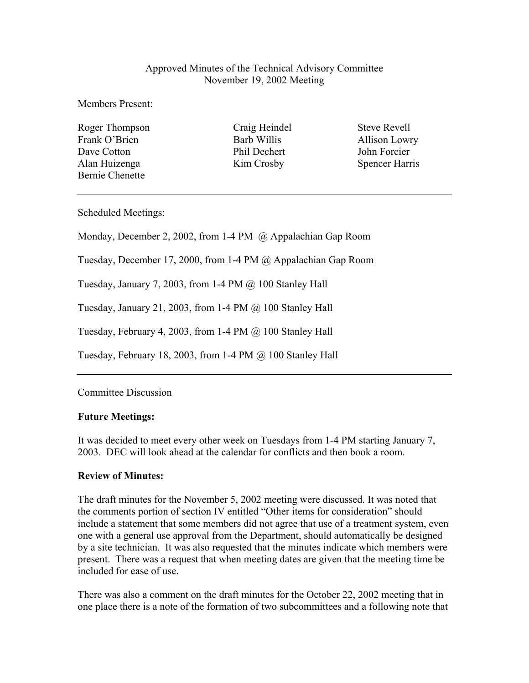# Approved Minutes of the Technical Advisory Committee November 19, 2002 Meeting

Members Present:

Roger Thompson Craig Heindel Steve Revell Frank O'Brien **Barb Willis** Barb Willis **Allison Lowry** Dave Cotton **Phil Dechert** John Forcier Alan Huizenga Kim Crosby Spencer Harris Bernie Chenette

Scheduled Meetings:

Monday, December 2, 2002, from 1-4 PM @ Appalachian Gap Room

Tuesday, December 17, 2000, from 1-4 PM @ Appalachian Gap Room

Tuesday, January 7, 2003, from 1-4 PM  $\omega$  100 Stanley Hall

Tuesday, January 21, 2003, from 1-4 PM @ 100 Stanley Hall

Tuesday, February 4, 2003, from 1-4 PM @ 100 Stanley Hall

Tuesday, February 18, 2003, from 1-4 PM @ 100 Stanley Hall

# Committee Discussion

# **Future Meetings:**

It was decided to meet every other week on Tuesdays from 1-4 PM starting January 7, 2003. DEC will look ahead at the calendar for conflicts and then book a room.

# **Review of Minutes:**

The draft minutes for the November 5, 2002 meeting were discussed. It was noted that the comments portion of section IV entitled "Other items for consideration" should include a statement that some members did not agree that use of a treatment system, even one with a general use approval from the Department, should automatically be designed by a site technician. It was also requested that the minutes indicate which members were present. There was a request that when meeting dates are given that the meeting time be included for ease of use.

There was also a comment on the draft minutes for the October 22, 2002 meeting that in one place there is a note of the formation of two subcommittees and a following note that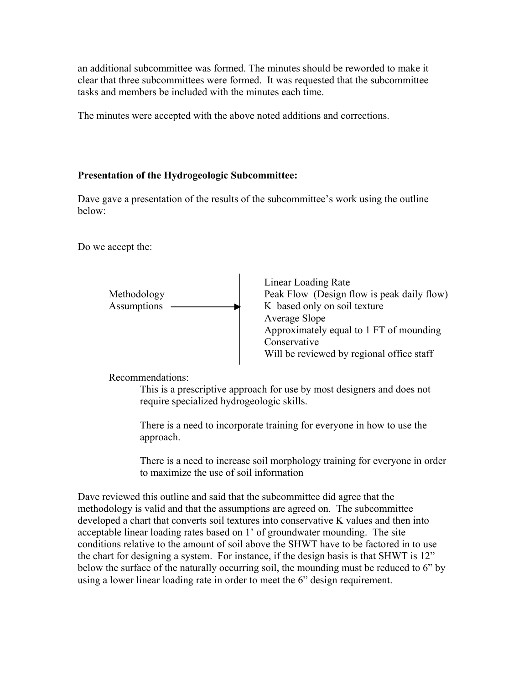an additional subcommittee was formed. The minutes should be reworded to make it clear that three subcommittees were formed. It was requested that the subcommittee tasks and members be included with the minutes each time.

The minutes were accepted with the above noted additions and corrections.

# **Presentation of the Hydrogeologic Subcommittee:**

Dave gave a presentation of the results of the subcommittee's work using the outline below:

Do we accept the:



 Linear Loading Rate Methodology Peak Flow (Design flow is peak daily flow) Average Slope Approximately equal to 1 FT of mounding Conservative Will be reviewed by regional office staff

Recommendations:

This is a prescriptive approach for use by most designers and does not require specialized hydrogeologic skills.

There is a need to incorporate training for everyone in how to use the approach.

There is a need to increase soil morphology training for everyone in order to maximize the use of soil information

Dave reviewed this outline and said that the subcommittee did agree that the methodology is valid and that the assumptions are agreed on. The subcommittee developed a chart that converts soil textures into conservative K values and then into acceptable linear loading rates based on 1' of groundwater mounding. The site conditions relative to the amount of soil above the SHWT have to be factored in to use the chart for designing a system. For instance, if the design basis is that SHWT is 12" below the surface of the naturally occurring soil, the mounding must be reduced to 6" by using a lower linear loading rate in order to meet the 6" design requirement.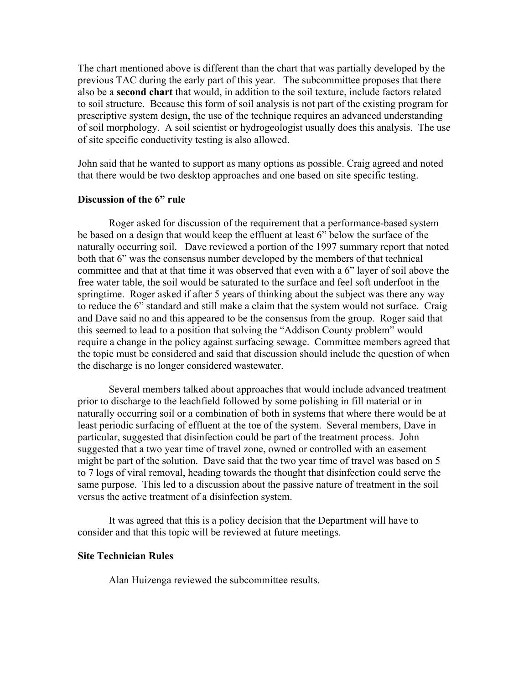The chart mentioned above is different than the chart that was partially developed by the previous TAC during the early part of this year. The subcommittee proposes that there also be a **second chart** that would, in addition to the soil texture, include factors related to soil structure. Because this form of soil analysis is not part of the existing program for prescriptive system design, the use of the technique requires an advanced understanding of soil morphology. A soil scientist or hydrogeologist usually does this analysis. The use of site specific conductivity testing is also allowed.

John said that he wanted to support as many options as possible. Craig agreed and noted that there would be two desktop approaches and one based on site specific testing.

#### **Discussion of the 6" rule**

Roger asked for discussion of the requirement that a performance-based system be based on a design that would keep the effluent at least 6" below the surface of the naturally occurring soil. Dave reviewed a portion of the 1997 summary report that noted both that 6" was the consensus number developed by the members of that technical committee and that at that time it was observed that even with a 6" layer of soil above the free water table, the soil would be saturated to the surface and feel soft underfoot in the springtime. Roger asked if after 5 years of thinking about the subject was there any way to reduce the 6" standard and still make a claim that the system would not surface. Craig and Dave said no and this appeared to be the consensus from the group. Roger said that this seemed to lead to a position that solving the "Addison County problem" would require a change in the policy against surfacing sewage. Committee members agreed that the topic must be considered and said that discussion should include the question of when the discharge is no longer considered wastewater.

Several members talked about approaches that would include advanced treatment prior to discharge to the leachfield followed by some polishing in fill material or in naturally occurring soil or a combination of both in systems that where there would be at least periodic surfacing of effluent at the toe of the system. Several members, Dave in particular, suggested that disinfection could be part of the treatment process. John suggested that a two year time of travel zone, owned or controlled with an easement might be part of the solution. Dave said that the two year time of travel was based on 5 to 7 logs of viral removal, heading towards the thought that disinfection could serve the same purpose. This led to a discussion about the passive nature of treatment in the soil versus the active treatment of a disinfection system.

It was agreed that this is a policy decision that the Department will have to consider and that this topic will be reviewed at future meetings.

#### **Site Technician Rules**

Alan Huizenga reviewed the subcommittee results.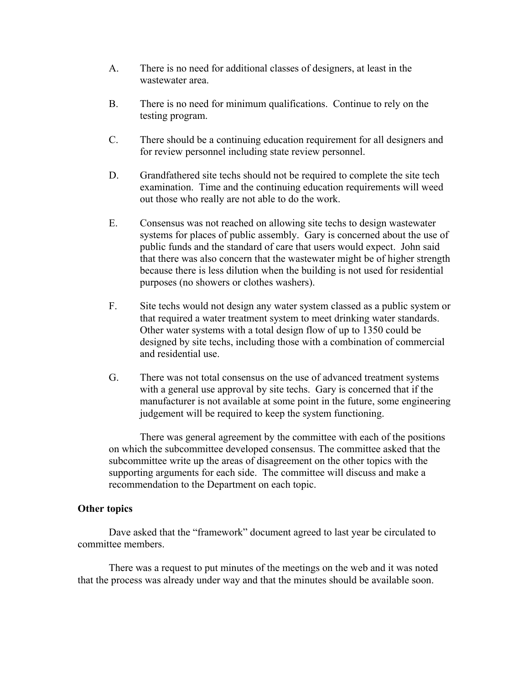- A. There is no need for additional classes of designers, at least in the wastewater area.
- B. There is no need for minimum qualifications. Continue to rely on the testing program.
- C. There should be a continuing education requirement for all designers and for review personnel including state review personnel.
- D. Grandfathered site techs should not be required to complete the site tech examination. Time and the continuing education requirements will weed out those who really are not able to do the work.
- E. Consensus was not reached on allowing site techs to design wastewater systems for places of public assembly. Gary is concerned about the use of public funds and the standard of care that users would expect. John said that there was also concern that the wastewater might be of higher strength because there is less dilution when the building is not used for residential purposes (no showers or clothes washers).
- F. Site techs would not design any water system classed as a public system or that required a water treatment system to meet drinking water standards. Other water systems with a total design flow of up to 1350 could be designed by site techs, including those with a combination of commercial and residential use.
- G. There was not total consensus on the use of advanced treatment systems with a general use approval by site techs. Gary is concerned that if the manufacturer is not available at some point in the future, some engineering judgement will be required to keep the system functioning.

There was general agreement by the committee with each of the positions on which the subcommittee developed consensus. The committee asked that the subcommittee write up the areas of disagreement on the other topics with the supporting arguments for each side. The committee will discuss and make a recommendation to the Department on each topic.

#### **Other topics**

 Dave asked that the "framework" document agreed to last year be circulated to committee members.

 There was a request to put minutes of the meetings on the web and it was noted that the process was already under way and that the minutes should be available soon.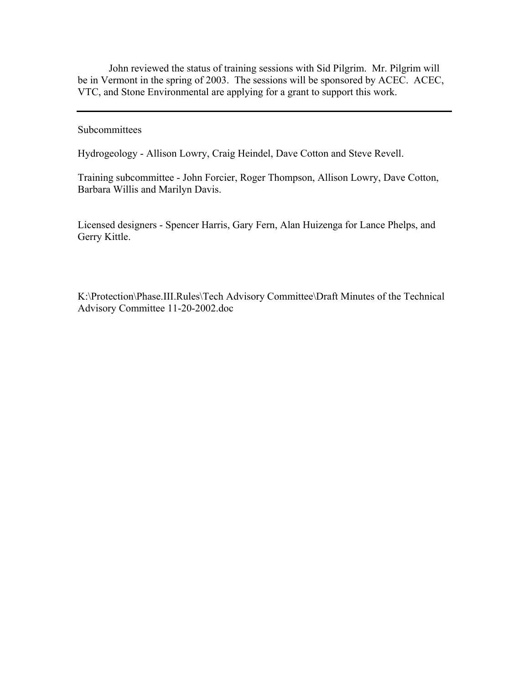John reviewed the status of training sessions with Sid Pilgrim. Mr. Pilgrim will be in Vermont in the spring of 2003. The sessions will be sponsored by ACEC. ACEC, VTC, and Stone Environmental are applying for a grant to support this work.

#### Subcommittees

Hydrogeology - Allison Lowry, Craig Heindel, Dave Cotton and Steve Revell.

Training subcommittee - John Forcier, Roger Thompson, Allison Lowry, Dave Cotton, Barbara Willis and Marilyn Davis.

Licensed designers - Spencer Harris, Gary Fern, Alan Huizenga for Lance Phelps, and Gerry Kittle.

K:\Protection\Phase.III.Rules\Tech Advisory Committee\Draft Minutes of the Technical Advisory Committee 11-20-2002.doc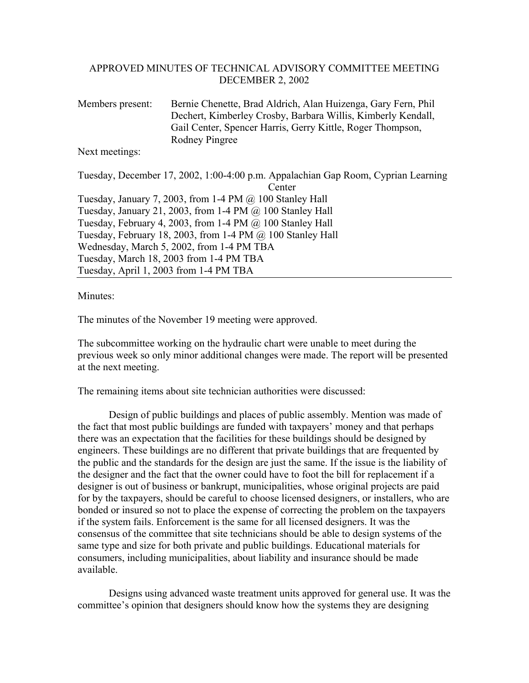#### APPROVED MINUTES OF TECHNICAL ADVISORY COMMITTEE MEETING DECEMBER 2, 2002

Members present: Bernie Chenette, Brad Aldrich, Alan Huizenga, Gary Fern, Phil Dechert, Kimberley Crosby, Barbara Willis, Kimberly Kendall, Gail Center, Spencer Harris, Gerry Kittle, Roger Thompson, Rodney Pingree

Next meetings:

Tuesday, December 17, 2002, 1:00-4:00 p.m. Appalachian Gap Room, Cyprian Learning Center Tuesday, January 7, 2003, from 1-4 PM  $\omega$  100 Stanley Hall Tuesday, January 21, 2003, from 1-4 PM  $(a)$  100 Stanley Hall Tuesday, February 4, 2003, from 1-4 PM @ 100 Stanley Hall Tuesday, February 18, 2003, from 1-4 PM @ 100 Stanley Hall Wednesday, March 5, 2002, from 1-4 PM TBA Tuesday, March 18, 2003 from 1-4 PM TBA Tuesday, April 1, 2003 from 1-4 PM TBA

Minutes:

The minutes of the November 19 meeting were approved.

The subcommittee working on the hydraulic chart were unable to meet during the previous week so only minor additional changes were made. The report will be presented at the next meeting.

The remaining items about site technician authorities were discussed:

 Design of public buildings and places of public assembly. Mention was made of the fact that most public buildings are funded with taxpayers' money and that perhaps there was an expectation that the facilities for these buildings should be designed by engineers. These buildings are no different that private buildings that are frequented by the public and the standards for the design are just the same. If the issue is the liability of the designer and the fact that the owner could have to foot the bill for replacement if a designer is out of business or bankrupt, municipalities, whose original projects are paid for by the taxpayers, should be careful to choose licensed designers, or installers, who are bonded or insured so not to place the expense of correcting the problem on the taxpayers if the system fails. Enforcement is the same for all licensed designers. It was the consensus of the committee that site technicians should be able to design systems of the same type and size for both private and public buildings. Educational materials for consumers, including municipalities, about liability and insurance should be made available.

 Designs using advanced waste treatment units approved for general use. It was the committee's opinion that designers should know how the systems they are designing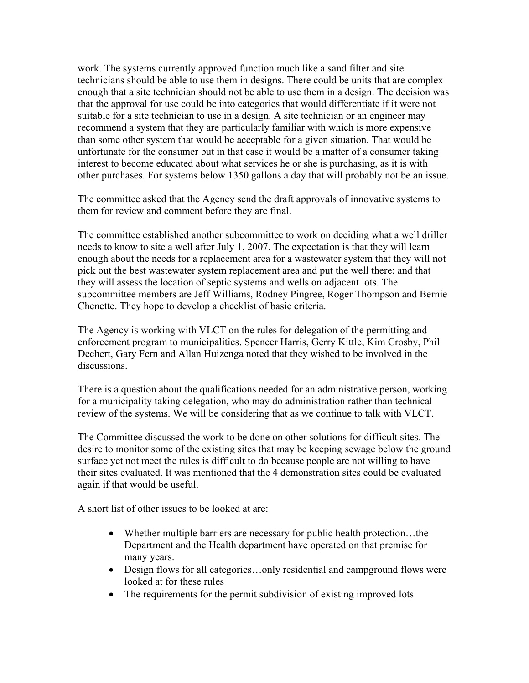work. The systems currently approved function much like a sand filter and site technicians should be able to use them in designs. There could be units that are complex enough that a site technician should not be able to use them in a design. The decision was that the approval for use could be into categories that would differentiate if it were not suitable for a site technician to use in a design. A site technician or an engineer may recommend a system that they are particularly familiar with which is more expensive than some other system that would be acceptable for a given situation. That would be unfortunate for the consumer but in that case it would be a matter of a consumer taking interest to become educated about what services he or she is purchasing, as it is with other purchases. For systems below 1350 gallons a day that will probably not be an issue.

The committee asked that the Agency send the draft approvals of innovative systems to them for review and comment before they are final.

The committee established another subcommittee to work on deciding what a well driller needs to know to site a well after July 1, 2007. The expectation is that they will learn enough about the needs for a replacement area for a wastewater system that they will not pick out the best wastewater system replacement area and put the well there; and that they will assess the location of septic systems and wells on adjacent lots. The subcommittee members are Jeff Williams, Rodney Pingree, Roger Thompson and Bernie Chenette. They hope to develop a checklist of basic criteria.

The Agency is working with VLCT on the rules for delegation of the permitting and enforcement program to municipalities. Spencer Harris, Gerry Kittle, Kim Crosby, Phil Dechert, Gary Fern and Allan Huizenga noted that they wished to be involved in the discussions.

There is a question about the qualifications needed for an administrative person, working for a municipality taking delegation, who may do administration rather than technical review of the systems. We will be considering that as we continue to talk with VLCT.

The Committee discussed the work to be done on other solutions for difficult sites. The desire to monitor some of the existing sites that may be keeping sewage below the ground surface yet not meet the rules is difficult to do because people are not willing to have their sites evaluated. It was mentioned that the 4 demonstration sites could be evaluated again if that would be useful.

A short list of other issues to be looked at are:

- Whether multiple barriers are necessary for public health protection…the Department and the Health department have operated on that premise for many years.
- Design flows for all categories...only residential and campground flows were looked at for these rules
- The requirements for the permit subdivision of existing improved lots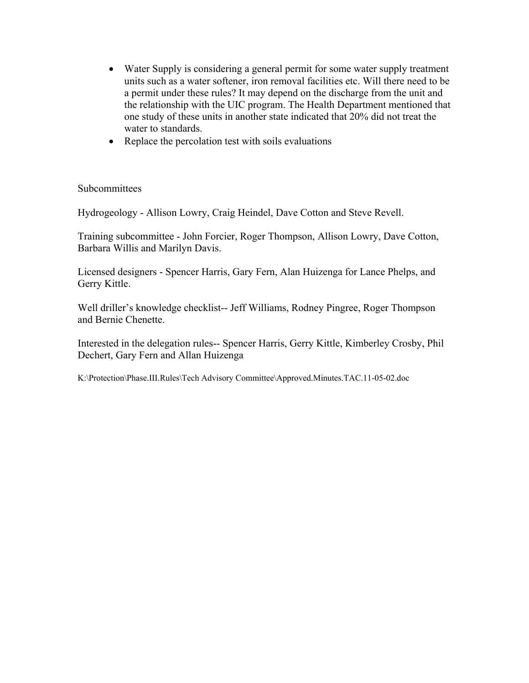- Water Supply is considering a general permit for some water supply treatment units such as a water softener, iron removal facilities etc. Will there need to be a permit under these rules? It may depend on the discharge from the unit and the relationship with the UIC program. The Health Department mentioned that one study of these units in another state indicated that 20% did not treat the water to standards.
- Replace the percolation test with soils evaluations

**Subcommittees** 

Hydrogeology - Allison Lowry, Craig Heindel, Dave Cotton and Steve Revell.

Training subcommittee - John Forcier, Roger Thompson, Allison Lowry, Dave Cotton, Barbara Willis and Marilyn Davis.

Licensed designers - Spencer Harris, Gary Fern, Alan Huizenga for Lance Phelps, and Gerry Kittle.

Well driller's knowledge checklist-- Jeff Williams, Rodney Pingree, Roger Thompson and Bernie Chenette.

Interested in the delegation rules-- Spencer Harris, Gerry Kittle, Kimberley Crosby, Phil Dechert, Gary Fern and Allan Huizenga

K:\Protection\Phase.III.Rules\Tech Advisory Committee\Approved.Minutes.TAC.11-05-02.doc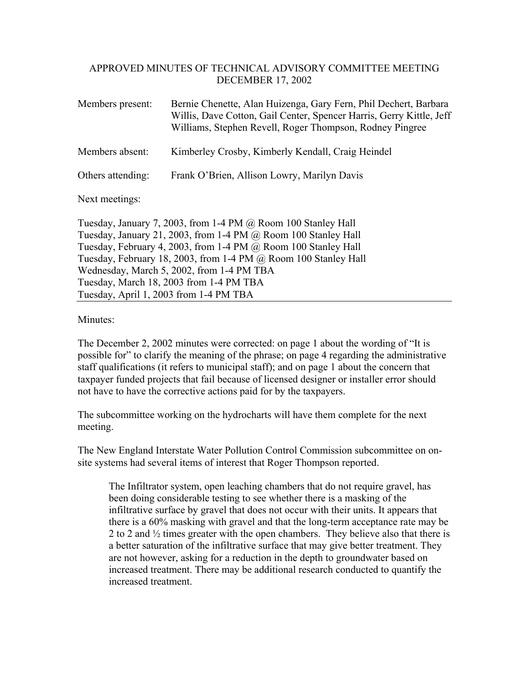## APPROVED MINUTES OF TECHNICAL ADVISORY COMMITTEE MEETING DECEMBER 17, 2002

| Members present:  | Bernie Chenette, Alan Huizenga, Gary Fern, Phil Dechert, Barbara<br>Willis, Dave Cotton, Gail Center, Spencer Harris, Gerry Kittle, Jeff<br>Williams, Stephen Revell, Roger Thompson, Rodney Pingree |
|-------------------|------------------------------------------------------------------------------------------------------------------------------------------------------------------------------------------------------|
| Members absent:   | Kimberley Crosby, Kimberly Kendall, Craig Heindel                                                                                                                                                    |
| Others attending: | Frank O'Brien, Allison Lowry, Marilyn Davis                                                                                                                                                          |

Next meetings:

Tuesday, January 7, 2003, from 1-4 PM @ Room 100 Stanley Hall Tuesday, January 21, 2003, from 1-4 PM @ Room 100 Stanley Hall Tuesday, February 4, 2003, from 1-4 PM @ Room 100 Stanley Hall Tuesday, February 18, 2003, from 1-4 PM @ Room 100 Stanley Hall Wednesday, March 5, 2002, from 1-4 PM TBA Tuesday, March 18, 2003 from 1-4 PM TBA Tuesday, April 1, 2003 from 1-4 PM TBA

Minutes<sup>-</sup>

The December 2, 2002 minutes were corrected: on page 1 about the wording of "It is possible for" to clarify the meaning of the phrase; on page 4 regarding the administrative staff qualifications (it refers to municipal staff); and on page 1 about the concern that taxpayer funded projects that fail because of licensed designer or installer error should not have to have the corrective actions paid for by the taxpayers.

The subcommittee working on the hydrocharts will have them complete for the next meeting.

The New England Interstate Water Pollution Control Commission subcommittee on onsite systems had several items of interest that Roger Thompson reported.

The Infiltrator system, open leaching chambers that do not require gravel, has been doing considerable testing to see whether there is a masking of the infiltrative surface by gravel that does not occur with their units. It appears that there is a 60% masking with gravel and that the long-term acceptance rate may be 2 to 2 and ½ times greater with the open chambers. They believe also that there is a better saturation of the infiltrative surface that may give better treatment. They are not however, asking for a reduction in the depth to groundwater based on increased treatment. There may be additional research conducted to quantify the increased treatment.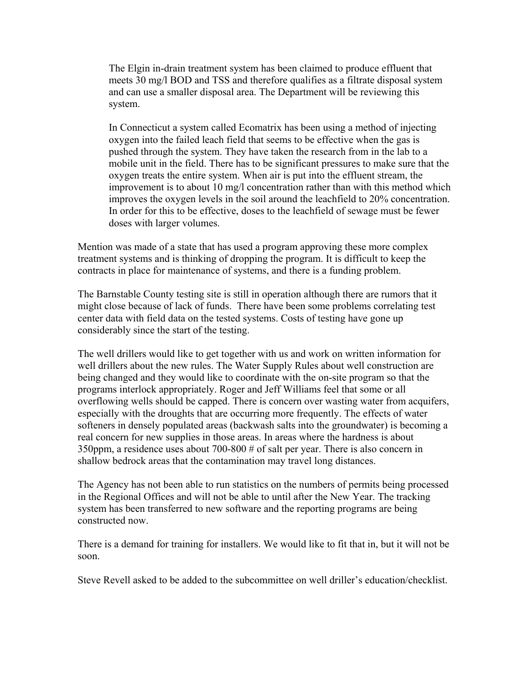The Elgin in-drain treatment system has been claimed to produce effluent that meets 30 mg/l BOD and TSS and therefore qualifies as a filtrate disposal system and can use a smaller disposal area. The Department will be reviewing this system.

In Connecticut a system called Ecomatrix has been using a method of injecting oxygen into the failed leach field that seems to be effective when the gas is pushed through the system. They have taken the research from in the lab to a mobile unit in the field. There has to be significant pressures to make sure that the oxygen treats the entire system. When air is put into the effluent stream, the improvement is to about 10 mg/l concentration rather than with this method which improves the oxygen levels in the soil around the leachfield to 20% concentration. In order for this to be effective, doses to the leachfield of sewage must be fewer doses with larger volumes.

Mention was made of a state that has used a program approving these more complex treatment systems and is thinking of dropping the program. It is difficult to keep the contracts in place for maintenance of systems, and there is a funding problem.

The Barnstable County testing site is still in operation although there are rumors that it might close because of lack of funds. There have been some problems correlating test center data with field data on the tested systems. Costs of testing have gone up considerably since the start of the testing.

The well drillers would like to get together with us and work on written information for well drillers about the new rules. The Water Supply Rules about well construction are being changed and they would like to coordinate with the on-site program so that the programs interlock appropriately. Roger and Jeff Williams feel that some or all overflowing wells should be capped. There is concern over wasting water from acquifers, especially with the droughts that are occurring more frequently. The effects of water softeners in densely populated areas (backwash salts into the groundwater) is becoming a real concern for new supplies in those areas. In areas where the hardness is about 350ppm, a residence uses about 700-800 # of salt per year. There is also concern in shallow bedrock areas that the contamination may travel long distances.

The Agency has not been able to run statistics on the numbers of permits being processed in the Regional Offices and will not be able to until after the New Year. The tracking system has been transferred to new software and the reporting programs are being constructed now.

There is a demand for training for installers. We would like to fit that in, but it will not be soon.

Steve Revell asked to be added to the subcommittee on well driller's education/checklist.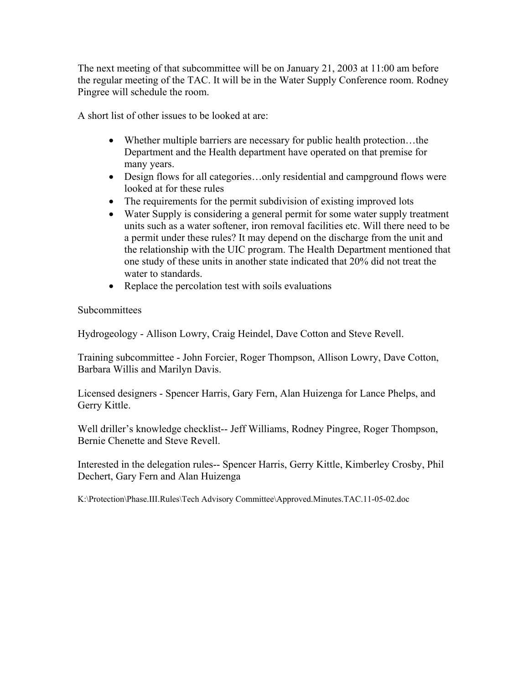The next meeting of that subcommittee will be on January 21, 2003 at 11:00 am before the regular meeting of the TAC. It will be in the Water Supply Conference room. Rodney Pingree will schedule the room.

A short list of other issues to be looked at are:

- Whether multiple barriers are necessary for public health protection...the Department and the Health department have operated on that premise for many years.
- Design flows for all categories...only residential and campground flows were looked at for these rules
- The requirements for the permit subdivision of existing improved lots
- Water Supply is considering a general permit for some water supply treatment units such as a water softener, iron removal facilities etc. Will there need to be a permit under these rules? It may depend on the discharge from the unit and the relationship with the UIC program. The Health Department mentioned that one study of these units in another state indicated that 20% did not treat the water to standards.
- Replace the percolation test with soils evaluations

Subcommittees

Hydrogeology - Allison Lowry, Craig Heindel, Dave Cotton and Steve Revell.

Training subcommittee - John Forcier, Roger Thompson, Allison Lowry, Dave Cotton, Barbara Willis and Marilyn Davis.

Licensed designers - Spencer Harris, Gary Fern, Alan Huizenga for Lance Phelps, and Gerry Kittle.

Well driller's knowledge checklist-- Jeff Williams, Rodney Pingree, Roger Thompson, Bernie Chenette and Steve Revell.

Interested in the delegation rules-- Spencer Harris, Gerry Kittle, Kimberley Crosby, Phil Dechert, Gary Fern and Alan Huizenga

K:\Protection\Phase.III.Rules\Tech Advisory Committee\Approved.Minutes.TAC.11-05-02.doc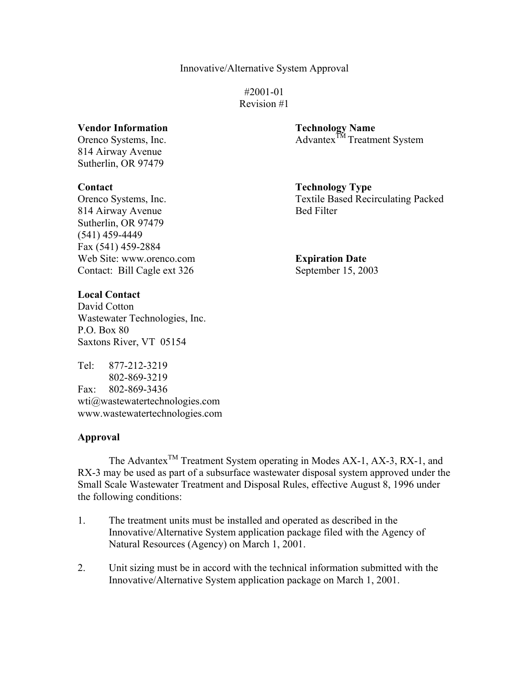#2001-01 Revision #1

#### **Vendor Information Technology Name**

814 Airway Avenue Sutherlin, OR 97479

814 Airway Avenue Bed Filter Sutherlin, OR 97479 (541) 459-4449 Fax (541) 459-2884 Web Site: www.orenco.com **Expiration Date** Contact: Bill Cagle ext 326 September 15, 2003

#### **Local Contact**

David Cotton Wastewater Technologies, Inc. P.O. Box 80 Saxtons River, VT 05154

Tel: 877-212-3219 802-869-3219 Fax: 802-869-3436 wti@wastewatertechnologies.com www.wastewatertechnologies.com

#### **Approval**

The Advantex<sup>TM</sup> Treatment System operating in Modes AX-1, AX-3, RX-1, and RX-3 may be used as part of a subsurface wastewater disposal system approved under the Small Scale Wastewater Treatment and Disposal Rules, effective August 8, 1996 under the following conditions:

- 1. The treatment units must be installed and operated as described in the Innovative/Alternative System application package filed with the Agency of Natural Resources (Agency) on March 1, 2001.
- 2. Unit sizing must be in accord with the technical information submitted with the Innovative/Alternative System application package on March 1, 2001.

Orenco Systems, Inc. Advantex<sup>TM</sup> Treatment System

**Contact Contact Contact Contact Contact Contact Contact Contact Contact Contact Contact Contact Contact Contact Contact Contact Contact Contact Contact Contact Contact Contact Contact Contact Contact Contact Contact Conta** Orenco Systems, Inc. Textile Based Recirculating Packed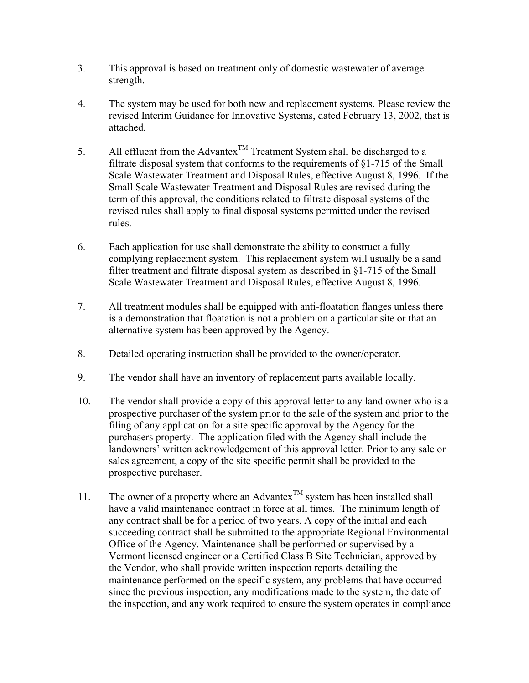- 3. This approval is based on treatment only of domestic wastewater of average strength.
- 4. The system may be used for both new and replacement systems. Please review the revised Interim Guidance for Innovative Systems, dated February 13, 2002, that is attached.
- 5. All effluent from the Advantex<sup>TM</sup> Treatment System shall be discharged to a filtrate disposal system that conforms to the requirements of §1-715 of the Small Scale Wastewater Treatment and Disposal Rules, effective August 8, 1996. If the Small Scale Wastewater Treatment and Disposal Rules are revised during the term of this approval, the conditions related to filtrate disposal systems of the revised rules shall apply to final disposal systems permitted under the revised rules.
- 6. Each application for use shall demonstrate the ability to construct a fully complying replacement system. This replacement system will usually be a sand filter treatment and filtrate disposal system as described in §1-715 of the Small Scale Wastewater Treatment and Disposal Rules, effective August 8, 1996.
- 7. All treatment modules shall be equipped with anti-floatation flanges unless there is a demonstration that floatation is not a problem on a particular site or that an alternative system has been approved by the Agency.
- 8. Detailed operating instruction shall be provided to the owner/operator.
- 9. The vendor shall have an inventory of replacement parts available locally.
- 10. The vendor shall provide a copy of this approval letter to any land owner who is a prospective purchaser of the system prior to the sale of the system and prior to the filing of any application for a site specific approval by the Agency for the purchasers property. The application filed with the Agency shall include the landowners' written acknowledgement of this approval letter. Prior to any sale or sales agreement, a copy of the site specific permit shall be provided to the prospective purchaser.
- 11. The owner of a property where an Advantex<sup>TM</sup> system has been installed shall have a valid maintenance contract in force at all times. The minimum length of any contract shall be for a period of two years. A copy of the initial and each succeeding contract shall be submitted to the appropriate Regional Environmental Office of the Agency. Maintenance shall be performed or supervised by a Vermont licensed engineer or a Certified Class B Site Technician, approved by the Vendor, who shall provide written inspection reports detailing the maintenance performed on the specific system, any problems that have occurred since the previous inspection, any modifications made to the system, the date of the inspection, and any work required to ensure the system operates in compliance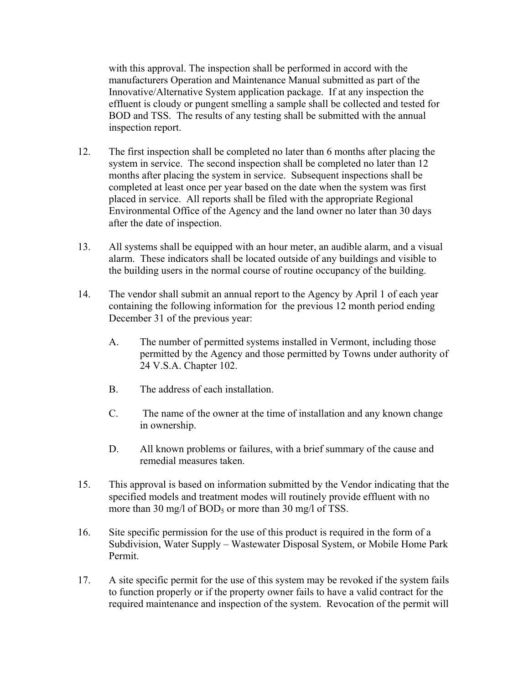with this approval. The inspection shall be performed in accord with the manufacturers Operation and Maintenance Manual submitted as part of the Innovative/Alternative System application package. If at any inspection the effluent is cloudy or pungent smelling a sample shall be collected and tested for BOD and TSS. The results of any testing shall be submitted with the annual inspection report.

- 12. The first inspection shall be completed no later than 6 months after placing the system in service. The second inspection shall be completed no later than 12 months after placing the system in service. Subsequent inspections shall be completed at least once per year based on the date when the system was first placed in service. All reports shall be filed with the appropriate Regional Environmental Office of the Agency and the land owner no later than 30 days after the date of inspection.
- 13. All systems shall be equipped with an hour meter, an audible alarm, and a visual alarm. These indicators shall be located outside of any buildings and visible to the building users in the normal course of routine occupancy of the building.
- 14. The vendor shall submit an annual report to the Agency by April 1 of each year containing the following information for the previous 12 month period ending December 31 of the previous year:
	- A. The number of permitted systems installed in Vermont, including those permitted by the Agency and those permitted by Towns under authority of 24 V.S.A. Chapter 102.
	- B. The address of each installation.
	- C. The name of the owner at the time of installation and any known change in ownership.
	- D. All known problems or failures, with a brief summary of the cause and remedial measures taken.
- 15. This approval is based on information submitted by the Vendor indicating that the specified models and treatment modes will routinely provide effluent with no more than 30 mg/l of  $BOD_5$  or more than 30 mg/l of TSS.
- 16. Site specific permission for the use of this product is required in the form of a Subdivision, Water Supply – Wastewater Disposal System, or Mobile Home Park Permit.
- 17. A site specific permit for the use of this system may be revoked if the system fails to function properly or if the property owner fails to have a valid contract for the required maintenance and inspection of the system. Revocation of the permit will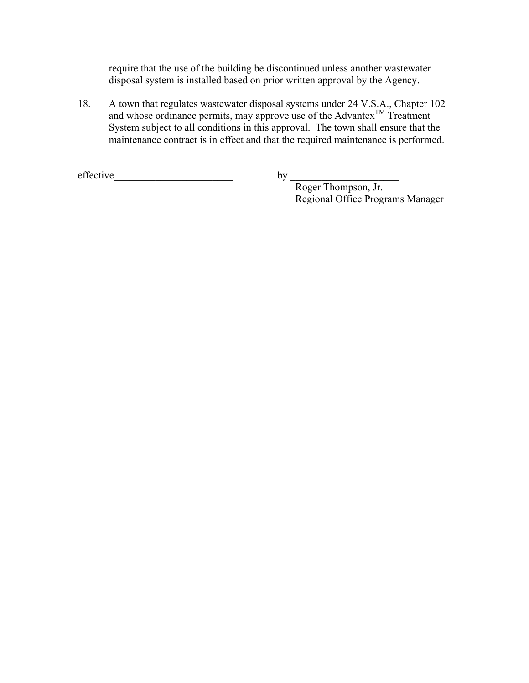require that the use of the building be discontinued unless another wastewater disposal system is installed based on prior written approval by the Agency.

18. A town that regulates wastewater disposal systems under 24 V.S.A., Chapter 102 and whose ordinance permits, may approve use of the Advantex<sup>TM</sup> Treatment System subject to all conditions in this approval. The town shall ensure that the maintenance contract is in effect and that the required maintenance is performed.

 $effective$   $\qquad \qquad \qquad$ 

by  $\frac{1}{\text{Roger Thompson, Jr.}}$ Regional Office Programs Manager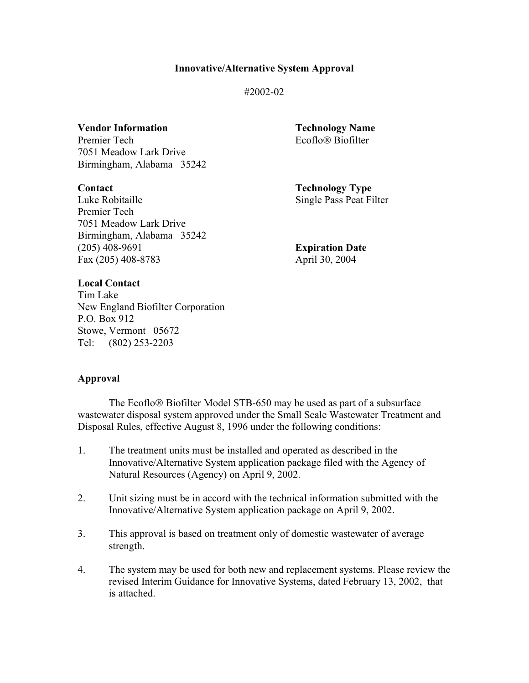#2002-02

**Vendor Information Technology Name** Premier Tech Ecoflo<sup>®</sup> Biofilter 7051 Meadow Lark Drive Birmingham, Alabama 35242

**Contact** Technology Type Luke Robitaille Single Pass Peat Filter Premier Tech 7051 Meadow Lark Drive Birmingham, Alabama 35242 (205) 408-9691 **Expiration Date**  Fax (205) 408-8783 April 30, 2004

#### **Local Contact**

Tim Lake New England Biofilter Corporation P.O. Box 912 Stowe, Vermont 05672 Tel: (802) 253-2203

#### **Approval**

The Ecoflo<sup>®</sup> Biofilter Model STB-650 may be used as part of a subsurface wastewater disposal system approved under the Small Scale Wastewater Treatment and Disposal Rules, effective August 8, 1996 under the following conditions:

- 1. The treatment units must be installed and operated as described in the Innovative/Alternative System application package filed with the Agency of Natural Resources (Agency) on April 9, 2002.
- 2. Unit sizing must be in accord with the technical information submitted with the Innovative/Alternative System application package on April 9, 2002.
- 3. This approval is based on treatment only of domestic wastewater of average strength.
- 4. The system may be used for both new and replacement systems. Please review the revised Interim Guidance for Innovative Systems, dated February 13, 2002, that is attached.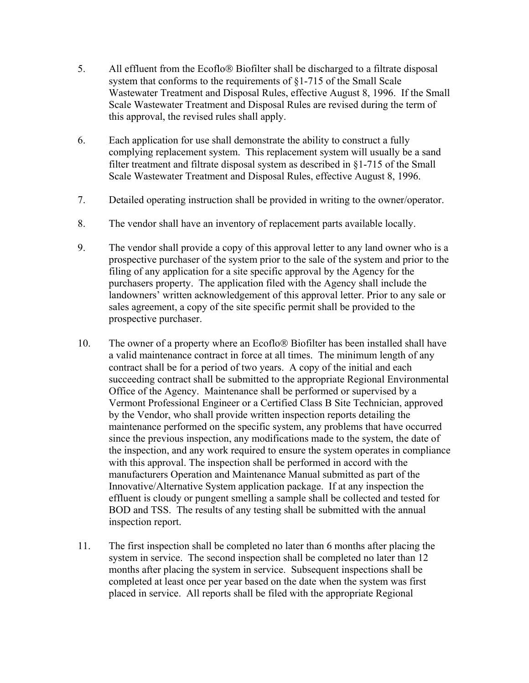- 5. All effluent from the Ecoflo<sup>®</sup> Biofilter shall be discharged to a filtrate disposal system that conforms to the requirements of §1-715 of the Small Scale Wastewater Treatment and Disposal Rules, effective August 8, 1996. If the Small Scale Wastewater Treatment and Disposal Rules are revised during the term of this approval, the revised rules shall apply.
- 6. Each application for use shall demonstrate the ability to construct a fully complying replacement system. This replacement system will usually be a sand filter treatment and filtrate disposal system as described in §1-715 of the Small Scale Wastewater Treatment and Disposal Rules, effective August 8, 1996.
- 7. Detailed operating instruction shall be provided in writing to the owner/operator.
- 8. The vendor shall have an inventory of replacement parts available locally.
- 9. The vendor shall provide a copy of this approval letter to any land owner who is a prospective purchaser of the system prior to the sale of the system and prior to the filing of any application for a site specific approval by the Agency for the purchasers property. The application filed with the Agency shall include the landowners' written acknowledgement of this approval letter. Prior to any sale or sales agreement, a copy of the site specific permit shall be provided to the prospective purchaser.
- 10. The owner of a property where an Ecoflo<sup>®</sup> Biofilter has been installed shall have a valid maintenance contract in force at all times. The minimum length of any contract shall be for a period of two years. A copy of the initial and each succeeding contract shall be submitted to the appropriate Regional Environmental Office of the Agency. Maintenance shall be performed or supervised by a Vermont Professional Engineer or a Certified Class B Site Technician, approved by the Vendor, who shall provide written inspection reports detailing the maintenance performed on the specific system, any problems that have occurred since the previous inspection, any modifications made to the system, the date of the inspection, and any work required to ensure the system operates in compliance with this approval. The inspection shall be performed in accord with the manufacturers Operation and Maintenance Manual submitted as part of the Innovative/Alternative System application package. If at any inspection the effluent is cloudy or pungent smelling a sample shall be collected and tested for BOD and TSS. The results of any testing shall be submitted with the annual inspection report.
- 11. The first inspection shall be completed no later than 6 months after placing the system in service. The second inspection shall be completed no later than 12 months after placing the system in service. Subsequent inspections shall be completed at least once per year based on the date when the system was first placed in service. All reports shall be filed with the appropriate Regional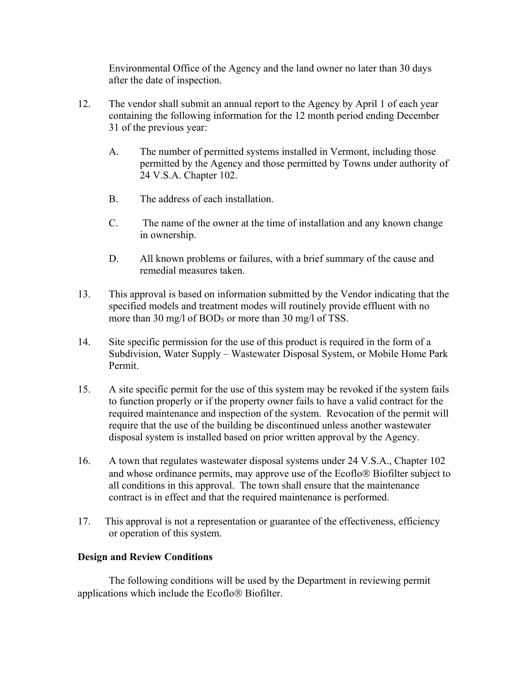Environmental Office of the Agency and the land owner no later than 30 days after the date of inspection.

- 12. The vendor shall submit an annual report to the Agency by April 1 of each year containing the following information for the 12 month period ending December 31 of the previous year:
	- A. The number of permitted systems installed in Vermont, including those permitted by the Agency and those permitted by Towns under authority of 24 V.S.A. Chapter 102.
	- B. The address of each installation.
	- C. The name of the owner at the time of installation and any known change in ownership.
	- D. All known problems or failures, with a brief summary of the cause and remedial measures taken.
- 13. This approval is based on information submitted by the Vendor indicating that the specified models and treatment modes will routinely provide effluent with no more than 30 mg/l of  $BOD_5$  or more than 30 mg/l of TSS.
- 14. Site specific permission for the use of this product is required in the form of a Subdivision, Water Supply – Wastewater Disposal System, or Mobile Home Park Permit.
- 15. A site specific permit for the use of this system may be revoked if the system fails to function properly or if the property owner fails to have a valid contract for the required maintenance and inspection of the system. Revocation of the permit will require that the use of the building be discontinued unless another wastewater disposal system is installed based on prior written approval by the Agency.
- 16. A town that regulates wastewater disposal systems under 24 V.S.A., Chapter 102 and whose ordinance permits, may approve use of the Ecoflo<sup>®</sup> Biofilter subject to all conditions in this approval. The town shall ensure that the maintenance contract is in effect and that the required maintenance is performed.
- 17. This approval is not a representation or guarantee of the effectiveness, efficiency or operation of this system.

#### **Design and Review Conditions**

 The following conditions will be used by the Department in reviewing permit applications which include the Ecoflo<sup>®</sup> Biofilter.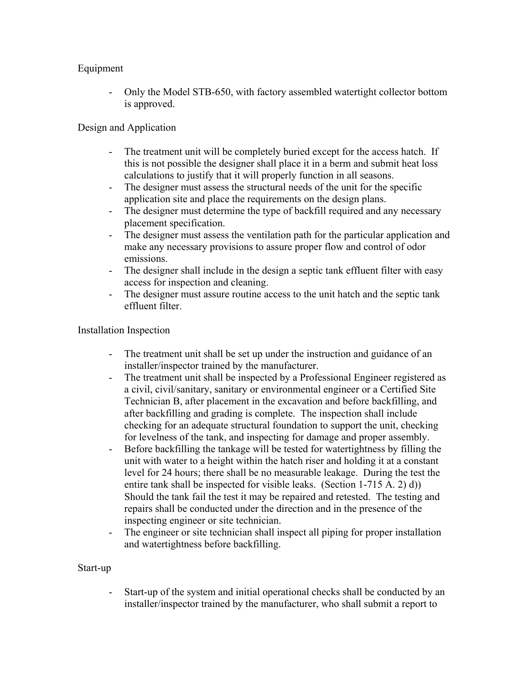# Equipment

- Only the Model STB-650, with factory assembled watertight collector bottom is approved.

# Design and Application

- The treatment unit will be completely buried except for the access hatch. If this is not possible the designer shall place it in a berm and submit heat loss calculations to justify that it will properly function in all seasons.
- The designer must assess the structural needs of the unit for the specific application site and place the requirements on the design plans.
- The designer must determine the type of backfill required and any necessary placement specification.
- The designer must assess the ventilation path for the particular application and make any necessary provisions to assure proper flow and control of odor emissions.
- The designer shall include in the design a septic tank effluent filter with easy access for inspection and cleaning.
- The designer must assure routine access to the unit hatch and the septic tank effluent filter.

# Installation Inspection

- The treatment unit shall be set up under the instruction and guidance of an installer/inspector trained by the manufacturer.
- The treatment unit shall be inspected by a Professional Engineer registered as a civil, civil/sanitary, sanitary or environmental engineer or a Certified Site Technician B, after placement in the excavation and before backfilling, and after backfilling and grading is complete. The inspection shall include checking for an adequate structural foundation to support the unit, checking for levelness of the tank, and inspecting for damage and proper assembly.
- Before backfilling the tankage will be tested for watertightness by filling the unit with water to a height within the hatch riser and holding it at a constant level for 24 hours; there shall be no measurable leakage. During the test the entire tank shall be inspected for visible leaks. (Section 1-715 A. 2) d)) Should the tank fail the test it may be repaired and retested. The testing and repairs shall be conducted under the direction and in the presence of the inspecting engineer or site technician.
- The engineer or site technician shall inspect all piping for proper installation and watertightness before backfilling.

# Start-up

Start-up of the system and initial operational checks shall be conducted by an installer/inspector trained by the manufacturer, who shall submit a report to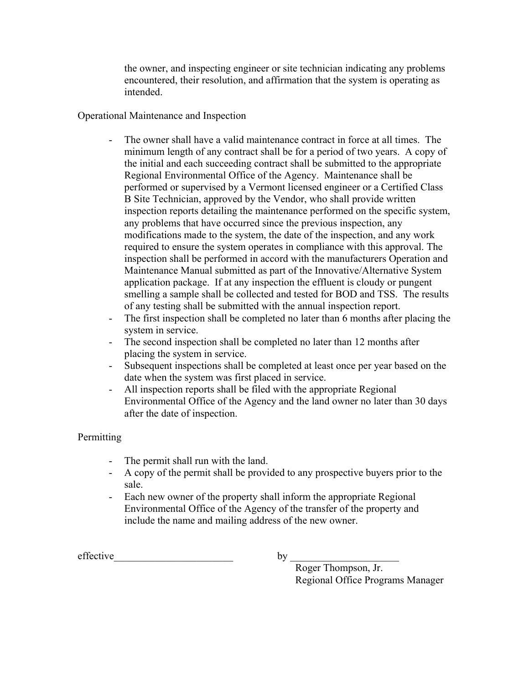the owner, and inspecting engineer or site technician indicating any problems encountered, their resolution, and affirmation that the system is operating as intended.

# Operational Maintenance and Inspection

- The owner shall have a valid maintenance contract in force at all times. The minimum length of any contract shall be for a period of two years. A copy of the initial and each succeeding contract shall be submitted to the appropriate Regional Environmental Office of the Agency. Maintenance shall be performed or supervised by a Vermont licensed engineer or a Certified Class B Site Technician, approved by the Vendor, who shall provide written inspection reports detailing the maintenance performed on the specific system, any problems that have occurred since the previous inspection, any modifications made to the system, the date of the inspection, and any work required to ensure the system operates in compliance with this approval. The inspection shall be performed in accord with the manufacturers Operation and Maintenance Manual submitted as part of the Innovative/Alternative System application package. If at any inspection the effluent is cloudy or pungent smelling a sample shall be collected and tested for BOD and TSS. The results of any testing shall be submitted with the annual inspection report.
- The first inspection shall be completed no later than 6 months after placing the system in service.
- The second inspection shall be completed no later than 12 months after placing the system in service.
- Subsequent inspections shall be completed at least once per year based on the date when the system was first placed in service.
- All inspection reports shall be filed with the appropriate Regional Environmental Office of the Agency and the land owner no later than 30 days after the date of inspection.

# **Permitting**

- The permit shall run with the land.
- A copy of the permit shall be provided to any prospective buyers prior to the sale.
- Each new owner of the property shall inform the appropriate Regional Environmental Office of the Agency of the transfer of the property and include the name and mailing address of the new owner.

effective  $\qquad \qquad$  by

Roger Thompson, Jr. Regional Office Programs Manager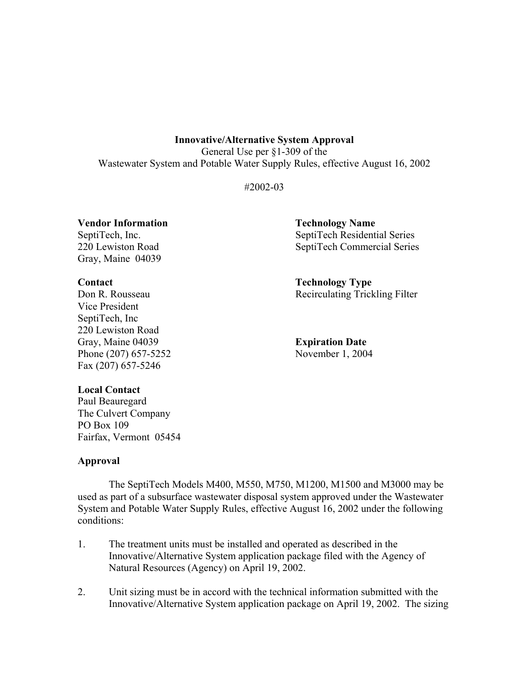General Use per §1-309 of the Wastewater System and Potable Water Supply Rules, effective August 16, 2002

#2002-03

**Vendor Information Technology Name** 

Gray, Maine 04039

Vice President SeptiTech, Inc 220 Lewiston Road Gray, Maine 04039 **Expiration Date** Phone (207) 657-5252 November 1, 2004 Fax (207) 657-5246

SeptiTech, Inc. SeptiTech Residential Series 220 Lewiston Road SeptiTech Commercial Series

**Contact Contact Contact Contact Contact Contact Contact Contact Contact Contact Contact Contact Contact Contact Contact Contact Contact Contact Contact Contact Contact Contact Contact Contact Contact Contact Contact Conta** Don R. Rousseau Recirculating Trickling Filter

# **Local Contact**

Paul Beauregard The Culvert Company PO Box 109 Fairfax, Vermont 05454

# **Approval**

 The SeptiTech Models M400, M550, M750, M1200, M1500 and M3000 may be used as part of a subsurface wastewater disposal system approved under the Wastewater System and Potable Water Supply Rules, effective August 16, 2002 under the following conditions:

- 1. The treatment units must be installed and operated as described in the Innovative/Alternative System application package filed with the Agency of Natural Resources (Agency) on April 19, 2002.
- 2. Unit sizing must be in accord with the technical information submitted with the Innovative/Alternative System application package on April 19, 2002. The sizing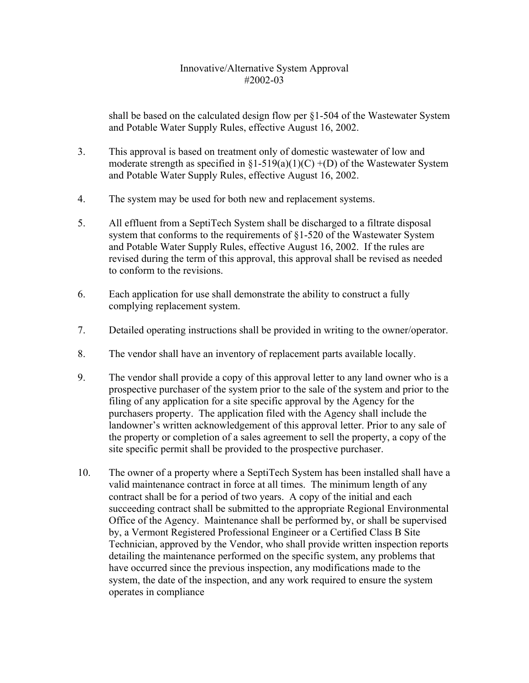shall be based on the calculated design flow per §1-504 of the Wastewater System and Potable Water Supply Rules, effective August 16, 2002.

- 3. This approval is based on treatment only of domestic wastewater of low and moderate strength as specified in  $\S1-519(a)(1)(C) + (D)$  of the Wastewater System and Potable Water Supply Rules, effective August 16, 2002.
- 4. The system may be used for both new and replacement systems.
- 5. All effluent from a SeptiTech System shall be discharged to a filtrate disposal system that conforms to the requirements of §1-520 of the Wastewater System and Potable Water Supply Rules, effective August 16, 2002. If the rules are revised during the term of this approval, this approval shall be revised as needed to conform to the revisions.
- 6. Each application for use shall demonstrate the ability to construct a fully complying replacement system.
- 7. Detailed operating instructions shall be provided in writing to the owner/operator.
- 8. The vendor shall have an inventory of replacement parts available locally.
- 9. The vendor shall provide a copy of this approval letter to any land owner who is a prospective purchaser of the system prior to the sale of the system and prior to the filing of any application for a site specific approval by the Agency for the purchasers property. The application filed with the Agency shall include the landowner's written acknowledgement of this approval letter. Prior to any sale of the property or completion of a sales agreement to sell the property, a copy of the site specific permit shall be provided to the prospective purchaser.
- 10. The owner of a property where a SeptiTech System has been installed shall have a valid maintenance contract in force at all times. The minimum length of any contract shall be for a period of two years. A copy of the initial and each succeeding contract shall be submitted to the appropriate Regional Environmental Office of the Agency. Maintenance shall be performed by, or shall be supervised by, a Vermont Registered Professional Engineer or a Certified Class B Site Technician, approved by the Vendor, who shall provide written inspection reports detailing the maintenance performed on the specific system, any problems that have occurred since the previous inspection, any modifications made to the system, the date of the inspection, and any work required to ensure the system operates in compliance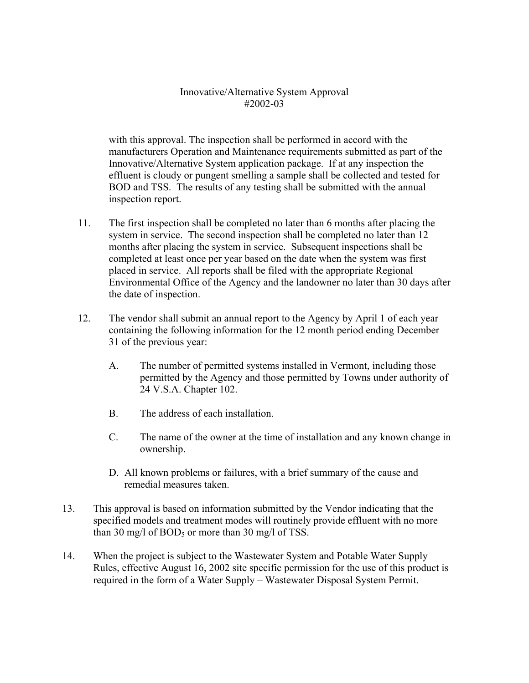with this approval. The inspection shall be performed in accord with the manufacturers Operation and Maintenance requirements submitted as part of the Innovative/Alternative System application package. If at any inspection the effluent is cloudy or pungent smelling a sample shall be collected and tested for BOD and TSS. The results of any testing shall be submitted with the annual inspection report.

- 11. The first inspection shall be completed no later than 6 months after placing the system in service. The second inspection shall be completed no later than 12 months after placing the system in service. Subsequent inspections shall be completed at least once per year based on the date when the system was first placed in service. All reports shall be filed with the appropriate Regional Environmental Office of the Agency and the landowner no later than 30 days after the date of inspection.
- 12. The vendor shall submit an annual report to the Agency by April 1 of each year containing the following information for the 12 month period ending December 31 of the previous year:
	- A. The number of permitted systems installed in Vermont, including those permitted by the Agency and those permitted by Towns under authority of 24 V.S.A. Chapter 102.
	- B. The address of each installation.
	- C. The name of the owner at the time of installation and any known change in ownership.
	- D. All known problems or failures, with a brief summary of the cause and remedial measures taken.
- 13. This approval is based on information submitted by the Vendor indicating that the specified models and treatment modes will routinely provide effluent with no more than 30 mg/l of BOD<sub>5</sub> or more than 30 mg/l of TSS.
- 14. When the project is subject to the Wastewater System and Potable Water Supply Rules, effective August 16, 2002 site specific permission for the use of this product is required in the form of a Water Supply – Wastewater Disposal System Permit.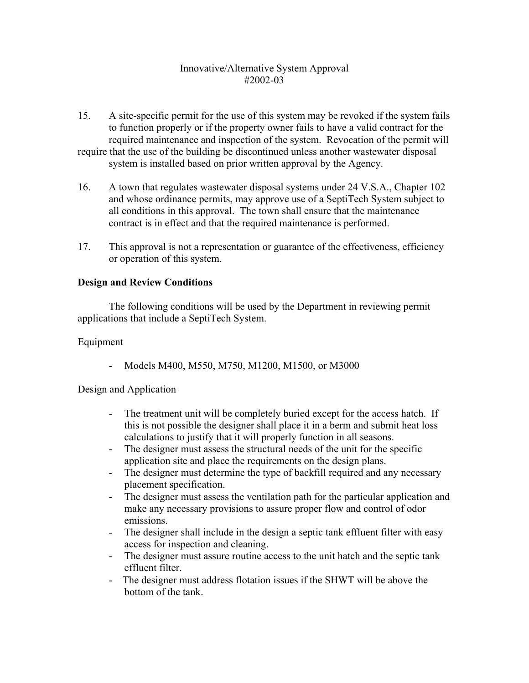15. A site-specific permit for the use of this system may be revoked if the system fails to function properly or if the property owner fails to have a valid contract for the required maintenance and inspection of the system. Revocation of the permit will require that the use of the building be discontinued unless another wastewater disposal

system is installed based on prior written approval by the Agency.

- 16. A town that regulates wastewater disposal systems under 24 V.S.A., Chapter 102 and whose ordinance permits, may approve use of a SeptiTech System subject to all conditions in this approval. The town shall ensure that the maintenance contract is in effect and that the required maintenance is performed.
- 17. This approval is not a representation or guarantee of the effectiveness, efficiency or operation of this system.

# **Design and Review Conditions**

 The following conditions will be used by the Department in reviewing permit applications that include a SeptiTech System.

# Equipment

- Models M400, M550, M750, M1200, M1500, or M3000

# Design and Application

- The treatment unit will be completely buried except for the access hatch. If this is not possible the designer shall place it in a berm and submit heat loss calculations to justify that it will properly function in all seasons.
- The designer must assess the structural needs of the unit for the specific application site and place the requirements on the design plans.
- The designer must determine the type of backfill required and any necessary placement specification.
- The designer must assess the ventilation path for the particular application and make any necessary provisions to assure proper flow and control of odor emissions.
- The designer shall include in the design a septic tank effluent filter with easy access for inspection and cleaning.
- The designer must assure routine access to the unit hatch and the septic tank effluent filter.
- The designer must address flotation issues if the SHWT will be above the bottom of the tank.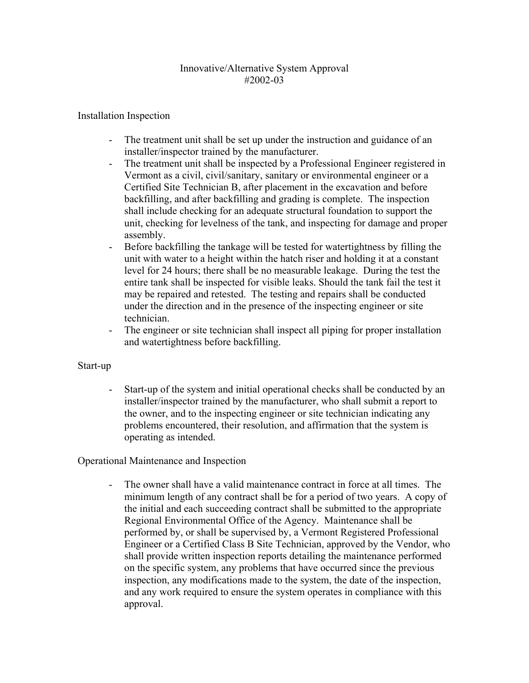# Installation Inspection

- The treatment unit shall be set up under the instruction and guidance of an installer/inspector trained by the manufacturer.
- The treatment unit shall be inspected by a Professional Engineer registered in Vermont as a civil, civil/sanitary, sanitary or environmental engineer or a Certified Site Technician B, after placement in the excavation and before backfilling, and after backfilling and grading is complete. The inspection shall include checking for an adequate structural foundation to support the unit, checking for levelness of the tank, and inspecting for damage and proper assembly.
- Before backfilling the tankage will be tested for watertightness by filling the unit with water to a height within the hatch riser and holding it at a constant level for 24 hours; there shall be no measurable leakage. During the test the entire tank shall be inspected for visible leaks. Should the tank fail the test it may be repaired and retested. The testing and repairs shall be conducted under the direction and in the presence of the inspecting engineer or site technician.
- The engineer or site technician shall inspect all piping for proper installation and watertightness before backfilling.

#### Start-up

Start-up of the system and initial operational checks shall be conducted by an installer/inspector trained by the manufacturer, who shall submit a report to the owner, and to the inspecting engineer or site technician indicating any problems encountered, their resolution, and affirmation that the system is operating as intended.

# Operational Maintenance and Inspection

- The owner shall have a valid maintenance contract in force at all times. The minimum length of any contract shall be for a period of two years. A copy of the initial and each succeeding contract shall be submitted to the appropriate Regional Environmental Office of the Agency. Maintenance shall be performed by, or shall be supervised by, a Vermont Registered Professional Engineer or a Certified Class B Site Technician, approved by the Vendor, who shall provide written inspection reports detailing the maintenance performed on the specific system, any problems that have occurred since the previous inspection, any modifications made to the system, the date of the inspection, and any work required to ensure the system operates in compliance with this approval.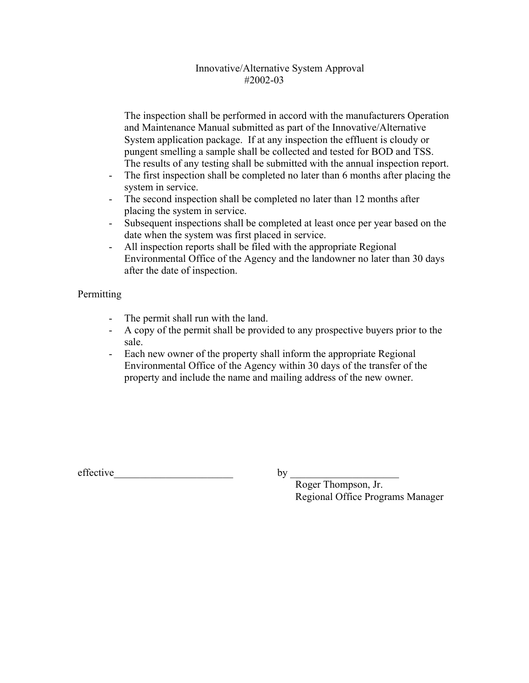The inspection shall be performed in accord with the manufacturers Operation and Maintenance Manual submitted as part of the Innovative/Alternative System application package. If at any inspection the effluent is cloudy or pungent smelling a sample shall be collected and tested for BOD and TSS. The results of any testing shall be submitted with the annual inspection report.

- The first inspection shall be completed no later than 6 months after placing the system in service.
- The second inspection shall be completed no later than 12 months after placing the system in service.
- Subsequent inspections shall be completed at least once per year based on the date when the system was first placed in service.
- All inspection reports shall be filed with the appropriate Regional Environmental Office of the Agency and the landowner no later than 30 days after the date of inspection.

# **Permitting**

- The permit shall run with the land.
- A copy of the permit shall be provided to any prospective buyers prior to the sale.
- Each new owner of the property shall inform the appropriate Regional Environmental Office of the Agency within 30 days of the transfer of the property and include the name and mailing address of the new owner.

effective  $\qquad \qquad$  by \_

Roger Thompson, Jr. Regional Office Programs Manager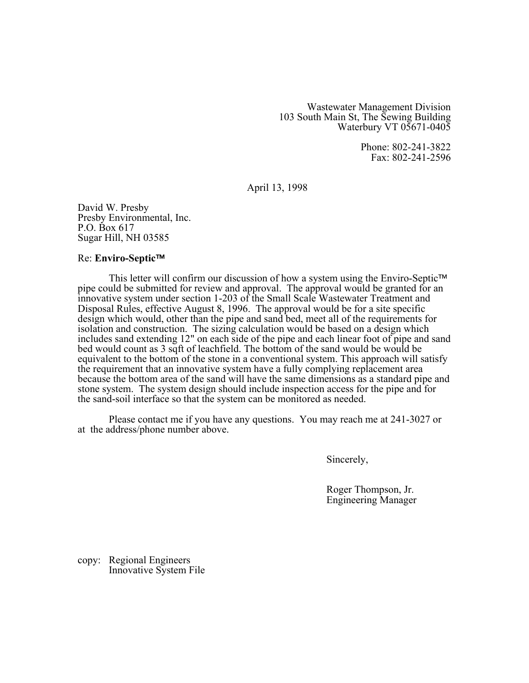Wastewater Management Division 103 South Main St, The Sewing Building Waterbury VT 05671-0405

> Phone: 802-241-3822 Fax: 802-241-2596

April 13, 1998

David W. Presby Presby Environmental, Inc. P.O. Box 617 Sugar Hill, NH 03585

#### **Re: Enviro-Septic™**

This letter will confirm our discussion of how a system using the Enviro-Septic<sup>TM</sup> pipe could be submitted for review and approval. The approval would be granted for an innovative system under section 1-203 of the Small Scale Wastewater Treatment and Disposal Rules, effective August 8, 1996. The approval would be for a site specific design which would, other than the pipe and sand bed, meet all of the requirements for isolation and construction. The sizing calculation would be based on a design which includes sand extending 12" on each side of the pipe and each linear foot of pipe and sand bed would count as 3 sqft of leachfield. The bottom of the sand would be would be equivalent to the bottom of the stone in a conventional system. This approach will satisfy the requirement that an innovative system have a fully complying replacement area because the bottom area of the sand will have the same dimensions as a standard pipe and stone system. The system design should include inspection access for the pipe and for the sand-soil interface so that the system can be monitored as needed.

Please contact me if you have any questions. You may reach me at 241-3027 or at the address/phone number above.

Sincerely,

Roger Thompson, Jr. Engineering Manager

copy: Regional Engineers Innovative System File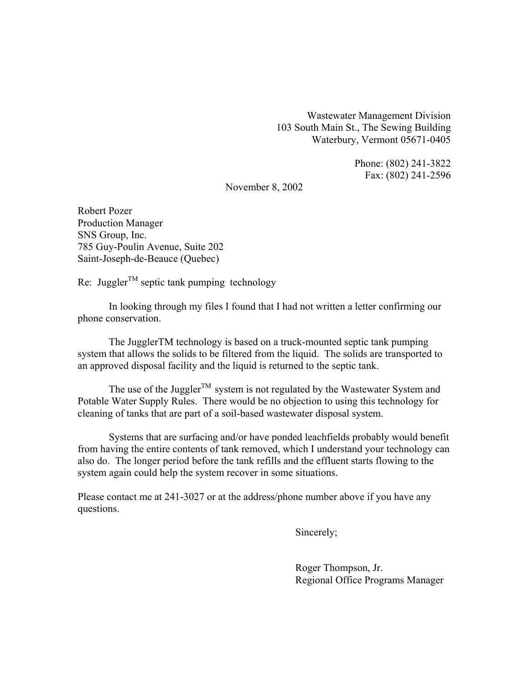Wastewater Management Division 103 South Main St., The Sewing Building Waterbury, Vermont 05671-0405

> Phone: (802) 241-3822 Fax: (802) 241-2596

November 8, 2002

Robert Pozer Production Manager SNS Group, Inc. 785 Guy-Poulin Avenue, Suite 202 Saint-Joseph-de-Beauce (Quebec)

Re: Juggler<sup>TM</sup> septic tank pumping technology

 In looking through my files I found that I had not written a letter confirming our phone conservation.

 The JugglerTM technology is based on a truck-mounted septic tank pumping system that allows the solids to be filtered from the liquid. The solids are transported to an approved disposal facility and the liquid is returned to the septic tank.

The use of the Juggler<sup>TM</sup> system is not regulated by the Wastewater System and Potable Water Supply Rules. There would be no objection to using this technology for cleaning of tanks that are part of a soil-based wastewater disposal system.

 Systems that are surfacing and/or have ponded leachfields probably would benefit from having the entire contents of tank removed, which I understand your technology can also do. The longer period before the tank refills and the effluent starts flowing to the system again could help the system recover in some situations.

Please contact me at 241-3027 or at the address/phone number above if you have any questions.

Sincerely;

 Roger Thompson, Jr. Regional Office Programs Manager